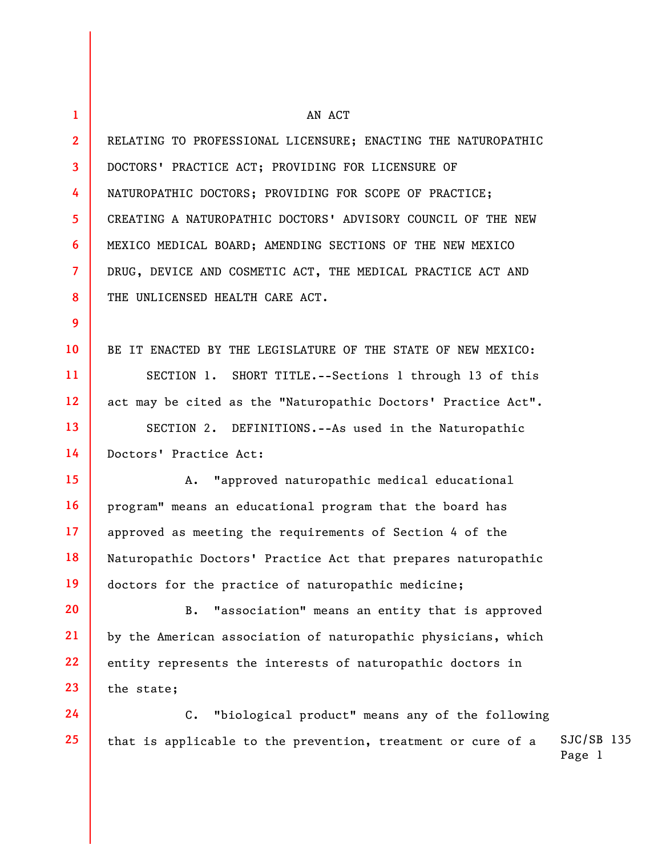| $\mathbf{1}$            | AN ACT                                                            |                        |  |
|-------------------------|-------------------------------------------------------------------|------------------------|--|
| $\overline{2}$          | RELATING TO PROFESSIONAL LICENSURE; ENACTING THE NATUROPATHIC     |                        |  |
| $\overline{\mathbf{3}}$ | DOCTORS' PRACTICE ACT; PROVIDING FOR LICENSURE OF                 |                        |  |
| 4                       | NATUROPATHIC DOCTORS; PROVIDING FOR SCOPE OF PRACTICE;            |                        |  |
| 5 <sup>5</sup>          | CREATING A NATUROPATHIC DOCTORS' ADVISORY COUNCIL OF THE NEW      |                        |  |
| 6                       | MEXICO MEDICAL BOARD; AMENDING SECTIONS OF THE NEW MEXICO         |                        |  |
| $\overline{7}$          | DRUG, DEVICE AND COSMETIC ACT, THE MEDICAL PRACTICE ACT AND       |                        |  |
| 8                       | THE UNLICENSED HEALTH CARE ACT.                                   |                        |  |
| 9                       |                                                                   |                        |  |
| 10 <sup>°</sup>         | BE IT ENACTED BY THE LEGISLATURE OF THE STATE OF NEW MEXICO:      |                        |  |
| 11                      | SECTION 1. SHORT TITLE.--Sections 1 through 13 of this            |                        |  |
| $12 \overline{ }$       | act may be cited as the "Naturopathic Doctors' Practice Act".     |                        |  |
| 13                      | SECTION 2. DEFINITIONS.--As used in the Naturopathic              |                        |  |
| 14                      | Doctors' Practice Act:                                            |                        |  |
| 15                      | "approved naturopathic medical educational<br>Α.                  |                        |  |
| <b>16</b>               | program" means an educational program that the board has          |                        |  |
| 17                      | approved as meeting the requirements of Section 4 of the          |                        |  |
| 18                      | Naturopathic Doctors' Practice Act that prepares naturopathic     |                        |  |
| 19                      | doctors for the practice of naturopathic medicine;                |                        |  |
| 20                      | "association" means an entity that is approved<br><b>B.</b>       |                        |  |
| 21                      | by the American association of naturopathic physicians, which     |                        |  |
| 22                      | entity represents the interests of naturopathic doctors in        |                        |  |
| 23                      | the state;                                                        |                        |  |
| 24                      | "biological product" means any of the following<br>$\mathsf{C}$ . |                        |  |
| 25                      | that is applicable to the prevention, treatment or cure of a      | $SJC/SB$ 135<br>Page 1 |  |
|                         |                                                                   |                        |  |
|                         |                                                                   |                        |  |
|                         |                                                                   |                        |  |

 $\mathbf{L}$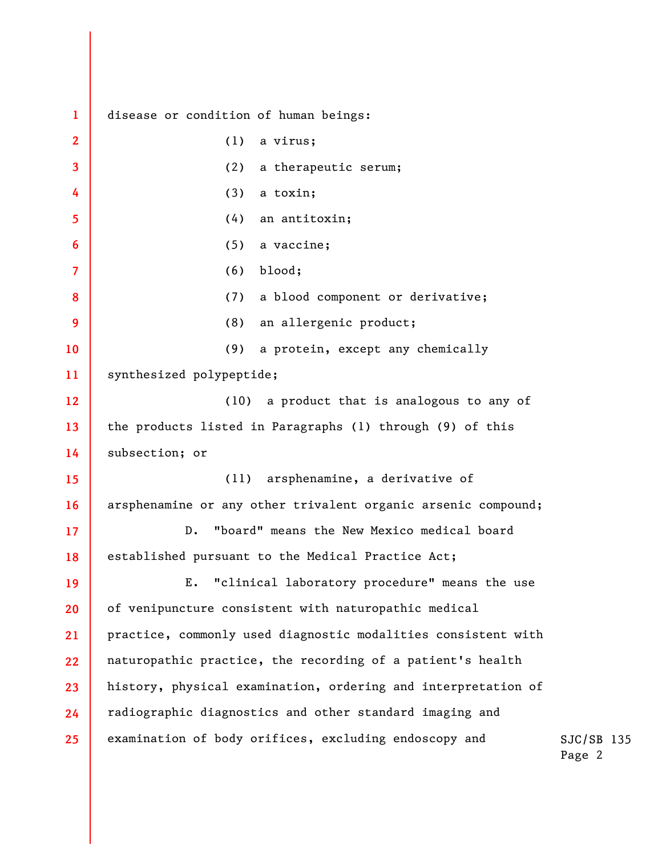**1 2 3 4 5 6 7 8 9 10 11 12 13 14 15 16 17 18 19 20 21 22 23 24 25**  disease or condition of human beings: (1) a virus; (2) a therapeutic serum; (3) a toxin; (4) an antitoxin; (5) a vaccine; (6) blood; (7) a blood component or derivative; (8) an allergenic product; (9) a protein, except any chemically synthesized polypeptide; (10) a product that is analogous to any of the products listed in Paragraphs (1) through (9) of this subsection; or (11) arsphenamine, a derivative of arsphenamine or any other trivalent organic arsenic compound; D. "board" means the New Mexico medical board established pursuant to the Medical Practice Act; E. "clinical laboratory procedure" means the use of venipuncture consistent with naturopathic medical practice, commonly used diagnostic modalities consistent with naturopathic practice, the recording of a patient's health history, physical examination, ordering and interpretation of radiographic diagnostics and other standard imaging and examination of body orifices, excluding endoscopy and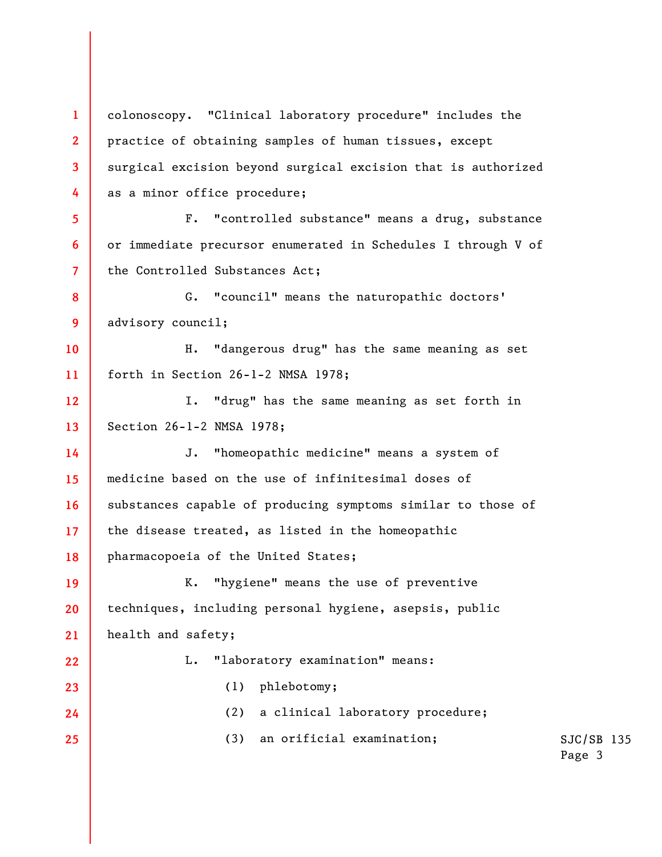SJC/SB 135 Page 3 **1 2 3 4 5 6 7 8 9 10 11 12 13 14 15 16 17 18 19 20 21 22 23 24 25**  colonoscopy. "Clinical laboratory procedure" includes the practice of obtaining samples of human tissues, except surgical excision beyond surgical excision that is authorized as a minor office procedure; F. "controlled substance" means a drug, substance or immediate precursor enumerated in Schedules I through V of the Controlled Substances Act; G. "council" means the naturopathic doctors' advisory council; H. "dangerous drug" has the same meaning as set forth in Section 26-1-2 NMSA 1978; I. "drug" has the same meaning as set forth in Section 26-1-2 NMSA 1978; J. "homeopathic medicine" means a system of medicine based on the use of infinitesimal doses of substances capable of producing symptoms similar to those of the disease treated, as listed in the homeopathic pharmacopoeia of the United States; K. "hygiene" means the use of preventive techniques, including personal hygiene, asepsis, public health and safety; L. "laboratory examination" means: (1) phlebotomy; (2) a clinical laboratory procedure; (3) an orificial examination;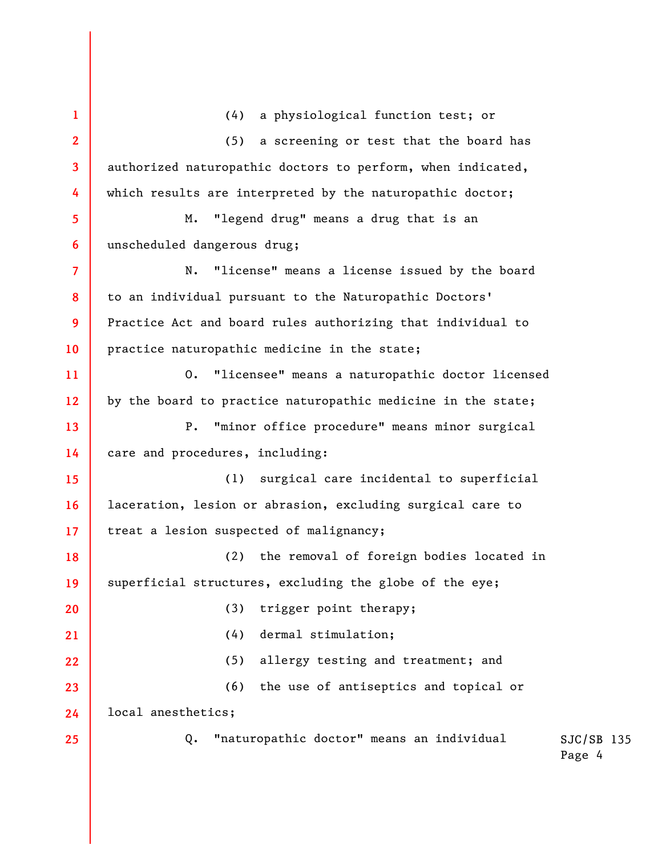SJC/SB 135 Page 4 **1 2 3 4 5 6 7 8 9 10 11 12 13 14 15 16 17 18 19 20 21 22 23 24 25**  (4) a physiological function test; or (5) a screening or test that the board has authorized naturopathic doctors to perform, when indicated, which results are interpreted by the naturopathic doctor; M. "legend drug" means a drug that is an unscheduled dangerous drug; N. "license" means a license issued by the board to an individual pursuant to the Naturopathic Doctors' Practice Act and board rules authorizing that individual to practice naturopathic medicine in the state; O. "licensee" means a naturopathic doctor licensed by the board to practice naturopathic medicine in the state; P. "minor office procedure" means minor surgical care and procedures, including: (1) surgical care incidental to superficial laceration, lesion or abrasion, excluding surgical care to treat a lesion suspected of malignancy; (2) the removal of foreign bodies located in superficial structures, excluding the globe of the eye; (3) trigger point therapy; (4) dermal stimulation; (5) allergy testing and treatment; and (6) the use of antiseptics and topical or local anesthetics; Q. "naturopathic doctor" means an individual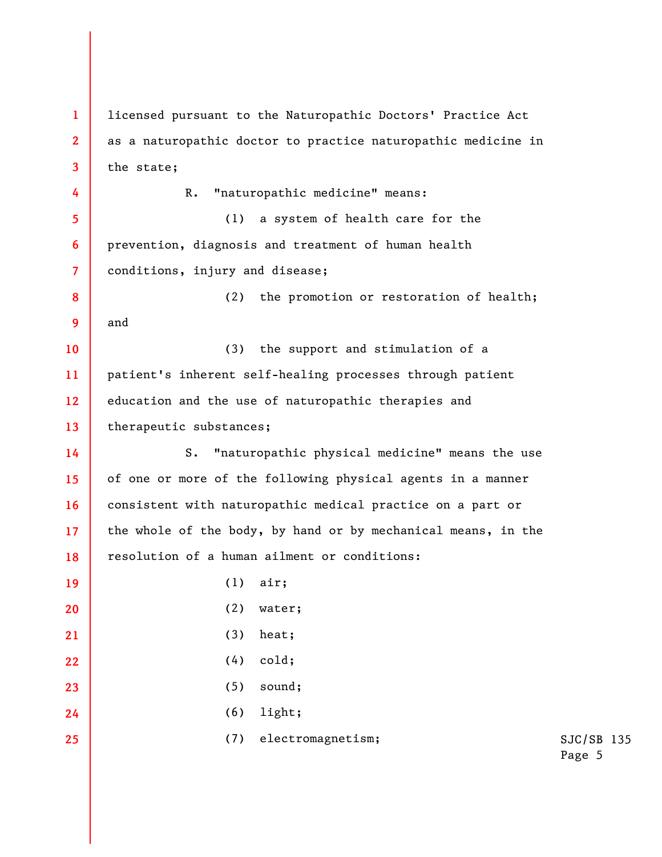SJC/SB 135 Page 5 **1 2 3 4 5 6 7 8 9 10 11 12 13 14 15 16 17 18 19 20 21 22 23 24 25**  licensed pursuant to the Naturopathic Doctors' Practice Act as a naturopathic doctor to practice naturopathic medicine in the state; R. "naturopathic medicine" means: (1) a system of health care for the prevention, diagnosis and treatment of human health conditions, injury and disease; (2) the promotion or restoration of health; and (3) the support and stimulation of a patient's inherent self-healing processes through patient education and the use of naturopathic therapies and therapeutic substances; S. "naturopathic physical medicine" means the use of one or more of the following physical agents in a manner consistent with naturopathic medical practice on a part or the whole of the body, by hand or by mechanical means, in the resolution of a human ailment or conditions: (1) air; (2) water; (3) heat; (4) cold; (5) sound; (6) light; (7) electromagnetism;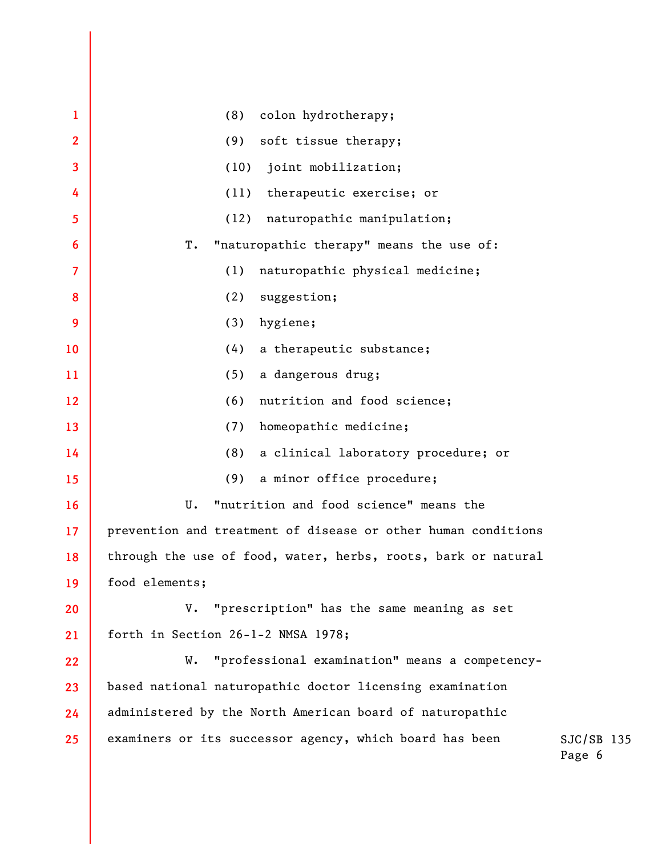| 1                       | (8)<br>colon hydrotherapy;                                    |          |
|-------------------------|---------------------------------------------------------------|----------|
| $\overline{2}$          | soft tissue therapy;<br>(9)                                   |          |
| $\overline{\mathbf{3}}$ | (10)<br>joint mobilization;                                   |          |
| 4                       | (11)<br>therapeutic exercise; or                              |          |
| 5                       | (12)<br>naturopathic manipulation;                            |          |
| 6                       | "naturopathic therapy" means the use of:<br>T.                |          |
| $\overline{7}$          | (1)<br>naturopathic physical medicine;                        |          |
| 8                       | (2)<br>suggestion;                                            |          |
| 9                       | (3)<br>hygiene;                                               |          |
| 10                      | (4)<br>a therapeutic substance;                               |          |
| 11                      | (5)<br>a dangerous drug;                                      |          |
| 12                      | (6)<br>nutrition and food science;                            |          |
| 13                      | (7)<br>homeopathic medicine;                                  |          |
| 14                      | (8)<br>a clinical laboratory procedure; or                    |          |
| 15                      | (9)<br>a minor office procedure;                              |          |
| 16                      | "nutrition and food science" means the<br>U.                  |          |
| 17                      | prevention and treatment of disease or other human conditions |          |
| 18                      | through the use of food, water, herbs, roots, bark or natural |          |
| 19                      | food elements;                                                |          |
| 20                      | V. "prescription" has the same meaning as set                 |          |
| 21                      | forth in Section 26-1-2 NMSA 1978;                            |          |
| 22                      | "professional examination" means a competency-<br>W.          |          |
| 23                      | based national naturopathic doctor licensing examination      |          |
| 24                      | administered by the North American board of naturopathic      |          |
| 25                      | examiners or its successor agency, which board has been       | SJ<br>Pa |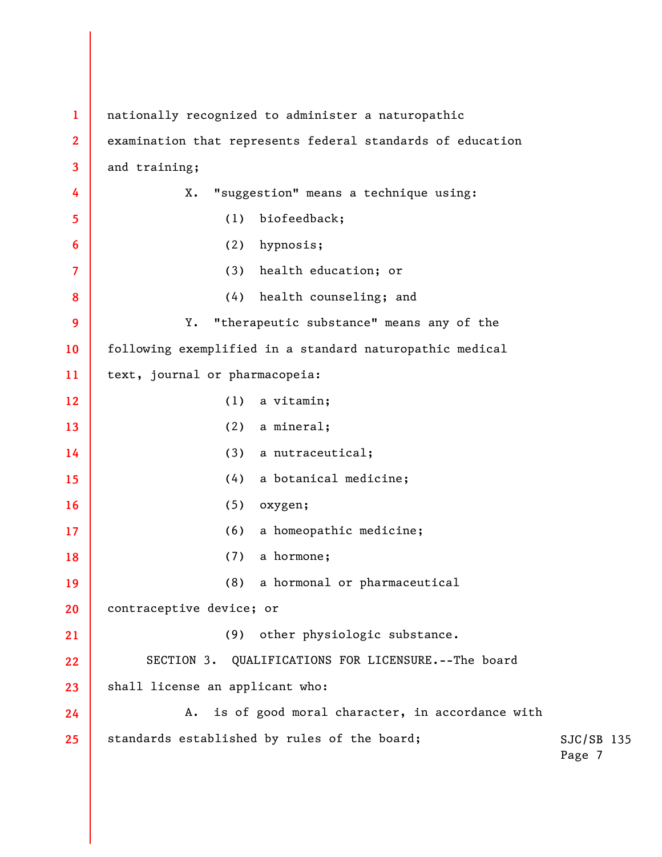| $\mathbf{1}$            | nationally recognized to administer a naturopathic         |                        |  |
|-------------------------|------------------------------------------------------------|------------------------|--|
| $\overline{2}$          | examination that represents federal standards of education |                        |  |
| $\overline{\mathbf{3}}$ | and training;                                              |                        |  |
| 4                       | "suggestion" means a technique using:<br>Χ.                |                        |  |
| $5\phantom{.0}$         | (1) biofeedback;                                           |                        |  |
| $6\phantom{1}6$         | hypnosis;<br>(2)                                           |                        |  |
| $\overline{7}$          | (3) health education; or                                   |                        |  |
| 8                       | (4) health counseling; and                                 |                        |  |
| 9                       | "therapeutic substance" means any of the<br>Υ.             |                        |  |
| 10                      | following exemplified in a standard naturopathic medical   |                        |  |
| 11                      | text, journal or pharmacopeia:                             |                        |  |
| 12                      | (1)<br>a vitamin;                                          |                        |  |
| 13                      | (2)<br>a mineral;                                          |                        |  |
| 14                      | (3)<br>a nutraceutical;                                    |                        |  |
| 15                      | a botanical medicine;<br>(4)                               |                        |  |
| 16                      | (5)<br>oxygen;                                             |                        |  |
| 17                      | a homeopathic medicine;<br>(6)                             |                        |  |
| 18                      | a hormone;<br>(7)                                          |                        |  |
| 19                      | a hormonal or pharmaceutical<br>(8)                        |                        |  |
| 20                      | contraceptive device; or                                   |                        |  |
| 21                      | other physiologic substance.<br>(9)                        |                        |  |
| 22                      | QUALIFICATIONS FOR LICENSURE. -- The board<br>SECTION 3.   |                        |  |
| 23                      | shall license an applicant who:                            |                        |  |
| 24                      | is of good moral character, in accordance with<br>A.       |                        |  |
| 25                      | standards established by rules of the board;               | $SJC/SB$ 135<br>Page 7 |  |
|                         |                                                            |                        |  |
|                         |                                                            |                        |  |
|                         |                                                            |                        |  |
|                         |                                                            |                        |  |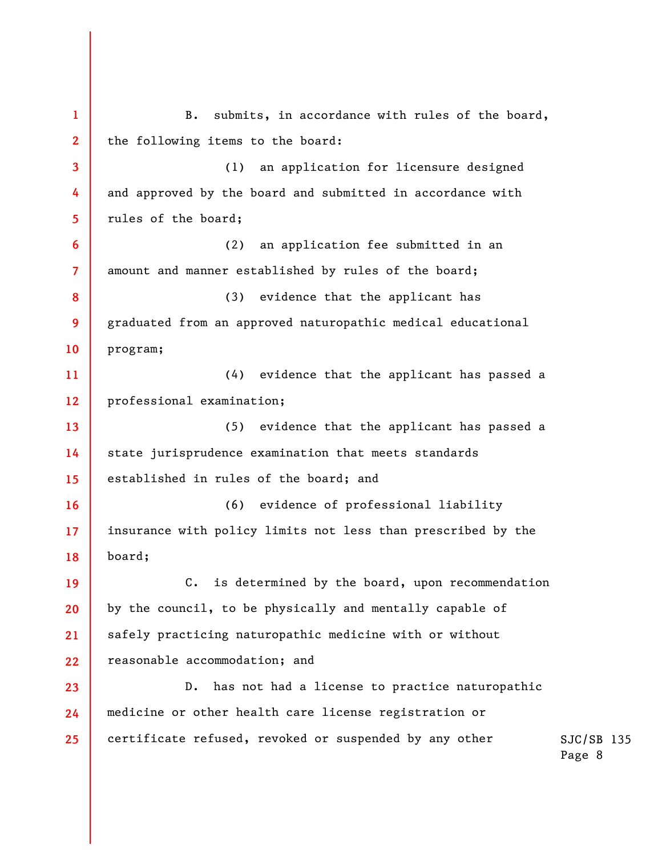SJC/SB 135 Page 8 **1 2 3 4 5 6 7 8 9 10 11 12 13 14 15 16 17 18 19 20 21 22 23 24 25**  B. submits, in accordance with rules of the board, the following items to the board: (1) an application for licensure designed and approved by the board and submitted in accordance with rules of the board; (2) an application fee submitted in an amount and manner established by rules of the board; (3) evidence that the applicant has graduated from an approved naturopathic medical educational program; (4) evidence that the applicant has passed a professional examination; (5) evidence that the applicant has passed a state jurisprudence examination that meets standards established in rules of the board; and (6) evidence of professional liability insurance with policy limits not less than prescribed by the board; C. is determined by the board, upon recommendation by the council, to be physically and mentally capable of safely practicing naturopathic medicine with or without reasonable accommodation; and D. has not had a license to practice naturopathic medicine or other health care license registration or certificate refused, revoked or suspended by any other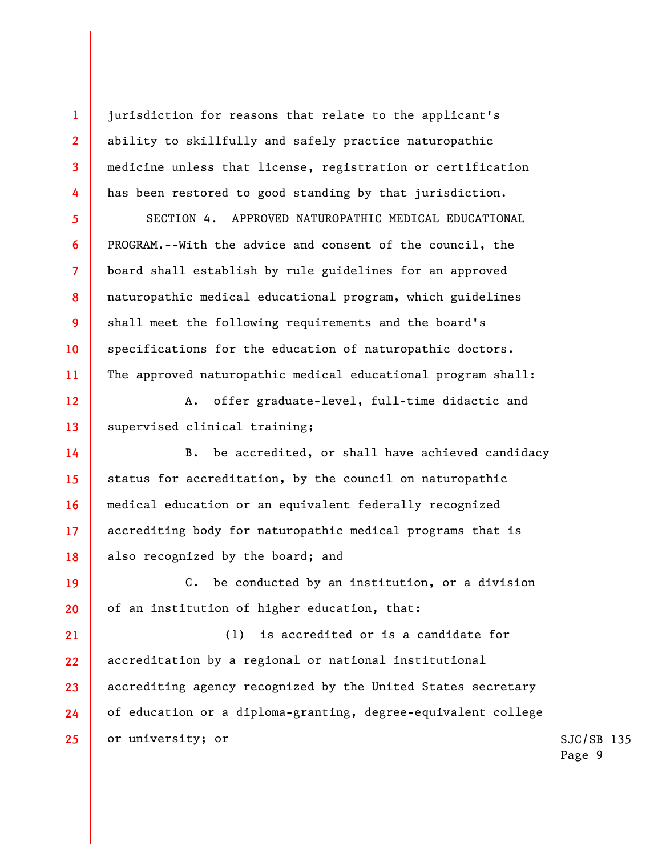jurisdiction for reasons that relate to the applicant's ability to skillfully and safely practice naturopathic medicine unless that license, registration or certification has been restored to good standing by that jurisdiction.

**1** 

**2** 

**3** 

**4** 

**5** 

**6** 

**7** 

**8** 

**9** 

**10** 

**11** 

**12** 

**13** 

**14** 

**15** 

**16** 

**17** 

**18** 

SECTION 4. APPROVED NATUROPATHIC MEDICAL EDUCATIONAL PROGRAM.--With the advice and consent of the council, the board shall establish by rule guidelines for an approved naturopathic medical educational program, which guidelines shall meet the following requirements and the board's specifications for the education of naturopathic doctors. The approved naturopathic medical educational program shall:

A. offer graduate-level, full-time didactic and supervised clinical training;

B. be accredited, or shall have achieved candidacy status for accreditation, by the council on naturopathic medical education or an equivalent federally recognized accrediting body for naturopathic medical programs that is also recognized by the board; and

**19 20**  C. be conducted by an institution, or a division of an institution of higher education, that:

**21 22 23 24 25**  (1) is accredited or is a candidate for accreditation by a regional or national institutional accrediting agency recognized by the United States secretary of education or a diploma-granting, degree-equivalent college or university; or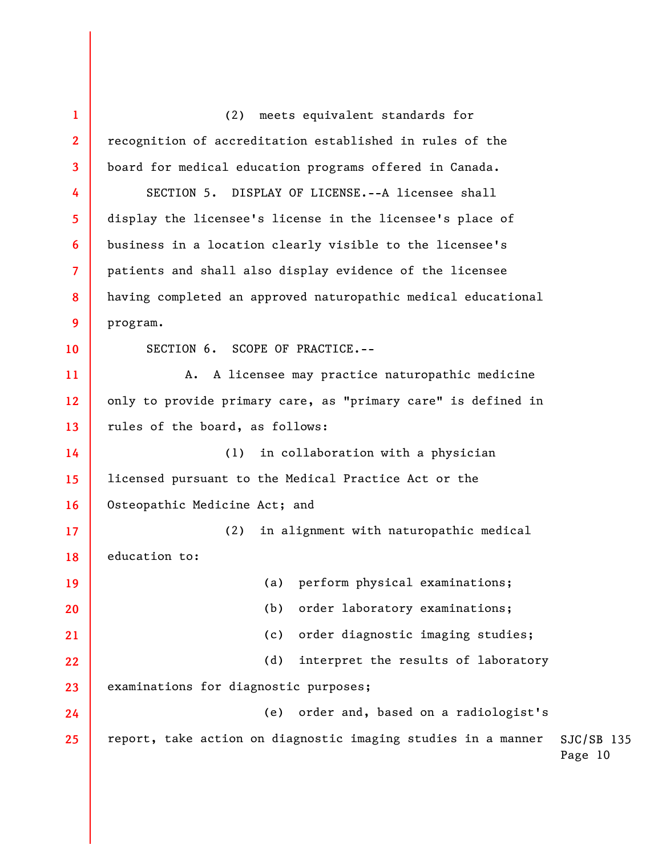SJC/SB 135 Page 10 **1 2 3 4 5 6 7 8 9 10 11 12 13 14 15 16 17 18 19 20 21 22 23 24 25**  (2) meets equivalent standards for recognition of accreditation established in rules of the board for medical education programs offered in Canada. SECTION 5. DISPLAY OF LICENSE.--A licensee shall display the licensee's license in the licensee's place of business in a location clearly visible to the licensee's patients and shall also display evidence of the licensee having completed an approved naturopathic medical educational program. SECTION 6. SCOPE OF PRACTICE.-- A. A licensee may practice naturopathic medicine only to provide primary care, as "primary care" is defined in rules of the board, as follows: (1) in collaboration with a physician licensed pursuant to the Medical Practice Act or the Osteopathic Medicine Act; and (2) in alignment with naturopathic medical education to: (a) perform physical examinations; (b) order laboratory examinations; (c) order diagnostic imaging studies; (d) interpret the results of laboratory examinations for diagnostic purposes; (e) order and, based on a radiologist's report, take action on diagnostic imaging studies in a manner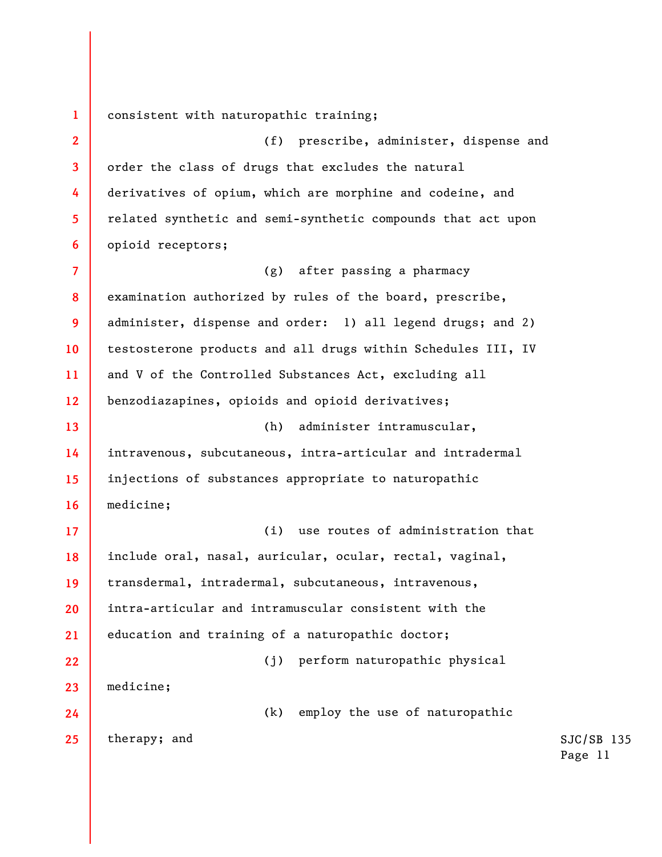**1**  consistent with naturopathic training;

**2 3 4 5 6**  (f) prescribe, administer, dispense and order the class of drugs that excludes the natural derivatives of opium, which are morphine and codeine, and related synthetic and semi-synthetic compounds that act upon opioid receptors;

**7 8 9 10 11 12 13 14 15 16**  (g) after passing a pharmacy examination authorized by rules of the board, prescribe, administer, dispense and order: 1) all legend drugs; and 2) testosterone products and all drugs within Schedules III, IV and V of the Controlled Substances Act, excluding all benzodiazapines, opioids and opioid derivatives; (h) administer intramuscular, intravenous, subcutaneous, intra-articular and intradermal injections of substances appropriate to naturopathic medicine;

**17 18 19 20 21 22 23**  (i) use routes of administration that include oral, nasal, auricular, ocular, rectal, vaginal, transdermal, intradermal, subcutaneous, intravenous, intra-articular and intramuscular consistent with the education and training of a naturopathic doctor; (j) perform naturopathic physical medicine;

(k) employ the use of naturopathic

therapy; and

**24** 

**25**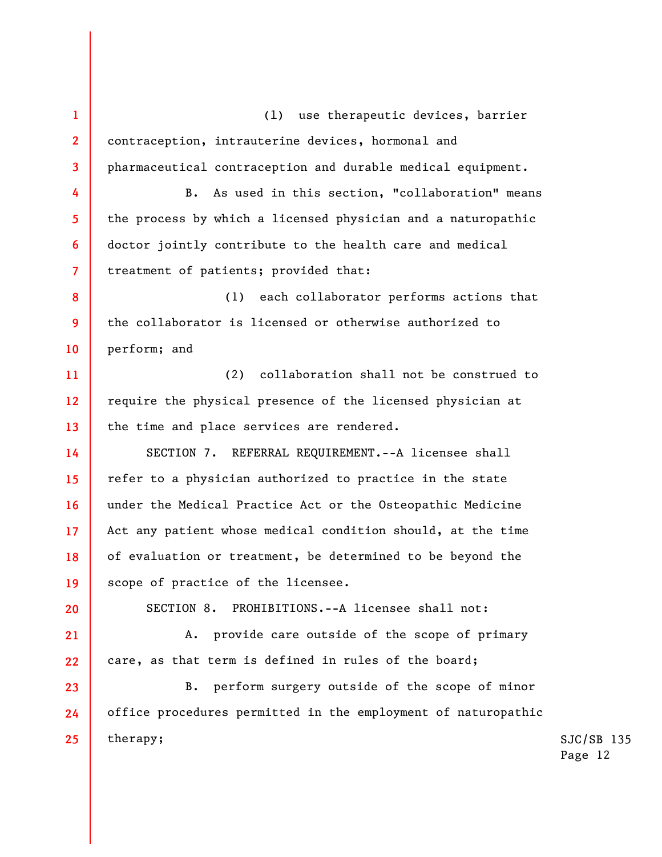**1 2 3**  (l) use therapeutic devices, barrier contraception, intrauterine devices, hormonal and pharmaceutical contraception and durable medical equipment.

B. As used in this section, "collaboration" means the process by which a licensed physician and a naturopathic doctor jointly contribute to the health care and medical treatment of patients; provided that:

**8 9 10**  (1) each collaborator performs actions that the collaborator is licensed or otherwise authorized to perform; and

**11 12 13**  (2) collaboration shall not be construed to require the physical presence of the licensed physician at the time and place services are rendered.

**14 15 18**  SECTION 7. REFERRAL REQUIREMENT.--A licensee shall refer to a physician authorized to practice in the state under the Medical Practice Act or the Osteopathic Medicine Act any patient whose medical condition should, at the time of evaluation or treatment, be determined to be beyond the scope of practice of the licensee.

**20** 

**19** 

**21** 

**22** 

**16** 

**17** 

**4** 

**5** 

**6** 

**7** 

SECTION 8. PROHIBITIONS.--A licensee shall not:

A. provide care outside of the scope of primary care, as that term is defined in rules of the board;

**23 24 25**  B. perform surgery outside of the scope of minor office procedures permitted in the employment of naturopathic therapy;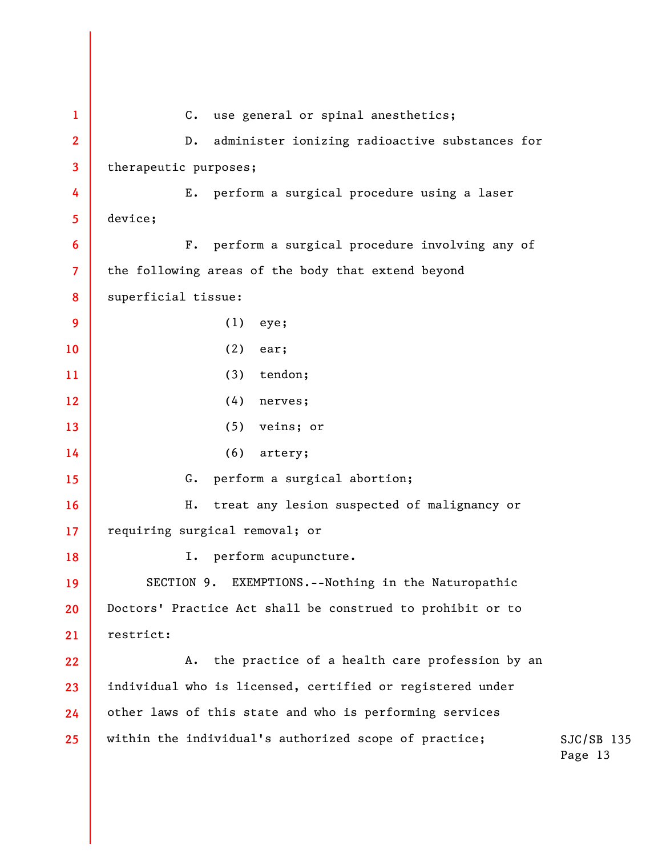**1 2 3 4 5 6 7 8 9 10 11 12 13 14 15 16 17 18 19 20 21 22 23 24 25**  C. use general or spinal anesthetics; D. administer ionizing radioactive substances for therapeutic purposes; E. perform a surgical procedure using a laser device; F. perform a surgical procedure involving any of the following areas of the body that extend beyond superficial tissue: (1) eye; (2) ear; (3) tendon; (4) nerves; (5) veins; or (6) artery; G. perform a surgical abortion; H. treat any lesion suspected of malignancy or requiring surgical removal; or I. perform acupuncture. SECTION 9. EXEMPTIONS.--Nothing in the Naturopathic Doctors' Practice Act shall be construed to prohibit or to restrict: A. the practice of a health care profession by an individual who is licensed, certified or registered under other laws of this state and who is performing services within the individual's authorized scope of practice;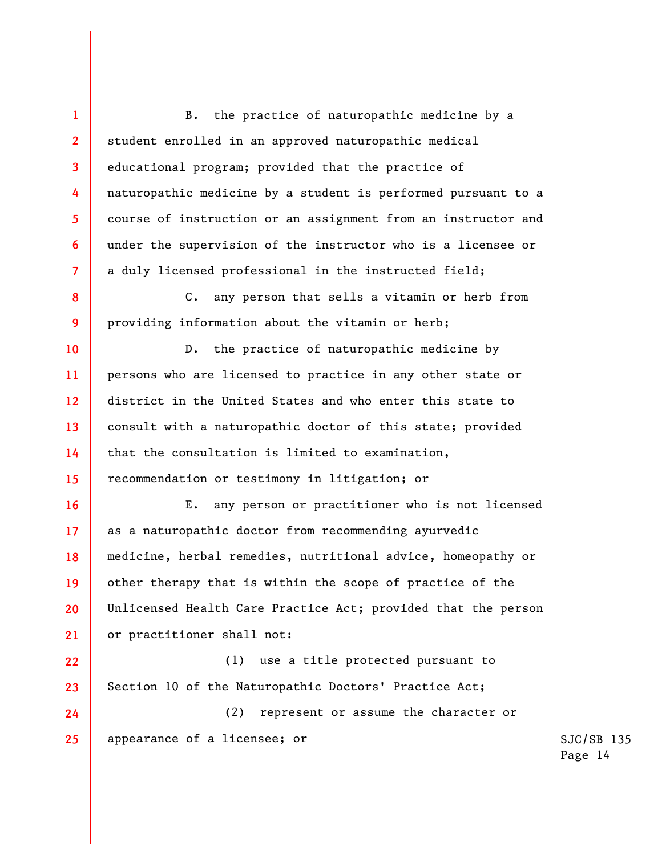B. the practice of naturopathic medicine by a student enrolled in an approved naturopathic medical educational program; provided that the practice of naturopathic medicine by a student is performed pursuant to a course of instruction or an assignment from an instructor and under the supervision of the instructor who is a licensee or a duly licensed professional in the instructed field;

**1** 

**2** 

**3** 

**4** 

**5** 

**6** 

**7** 

**8** 

**9** 

**10** 

**11** 

**12** 

**13** 

**14** 

**15** 

**16** 

**17** 

**18** 

**19** 

**20** 

**21** 

C. any person that sells a vitamin or herb from providing information about the vitamin or herb;

D. the practice of naturopathic medicine by persons who are licensed to practice in any other state or district in the United States and who enter this state to consult with a naturopathic doctor of this state; provided that the consultation is limited to examination, recommendation or testimony in litigation; or

E. any person or practitioner who is not licensed as a naturopathic doctor from recommending ayurvedic medicine, herbal remedies, nutritional advice, homeopathy or other therapy that is within the scope of practice of the Unlicensed Health Care Practice Act; provided that the person or practitioner shall not:

**22 23**  (1) use a title protected pursuant to Section 10 of the Naturopathic Doctors' Practice Act;

**24 25**  (2) represent or assume the character or appearance of a licensee; or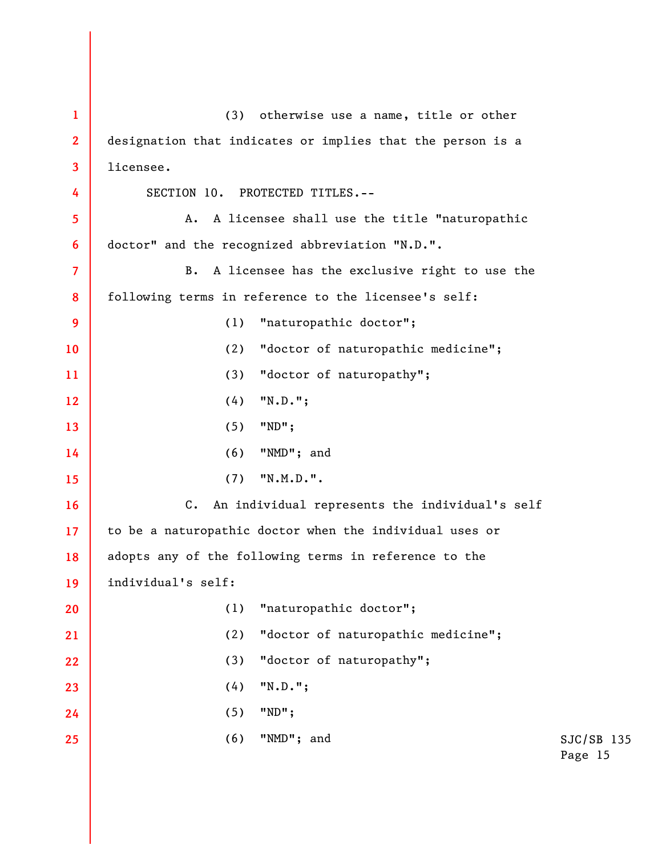| $\mathbf{1}$            | otherwise use a name, title or other<br>(3)                |                         |
|-------------------------|------------------------------------------------------------|-------------------------|
| $\overline{2}$          | designation that indicates or implies that the person is a |                         |
| $\overline{\mathbf{3}}$ | licensee.                                                  |                         |
| 4                       | SECTION 10. PROTECTED TITLES.--                            |                         |
| 5                       | A licensee shall use the title "naturopathic<br>Α.         |                         |
| $6\phantom{1}$          | doctor" and the recognized abbreviation "N.D.".            |                         |
| $\overline{7}$          | A licensee has the exclusive right to use the<br>В.        |                         |
| 8                       | following terms in reference to the licensee's self:       |                         |
| 9                       | "naturopathic doctor";<br>(1)                              |                         |
| 10 <sup>°</sup>         | "doctor of naturopathic medicine";<br>(2)                  |                         |
| 11                      | "doctor of naturopathy";<br>(3)                            |                         |
| 12                      | $"N.D."$ ;<br>(4)                                          |                         |
| 13                      | (5)<br>$"ND"$ ;                                            |                         |
| 14                      | (6)<br>"NMD"; and                                          |                         |
| 15                      | ''N.M.D.''.<br>(7)                                         |                         |
| 16                      | C. An individual represents the individual's self          |                         |
| 17 <sup>2</sup>         | to be a naturopathic doctor when the individual uses or    |                         |
| 18                      | adopts any of the following terms in reference to the      |                         |
| 19                      | individual's self:                                         |                         |
| 20                      | "naturopathic doctor";<br>(1)                              |                         |
| 21                      | "doctor of naturopathic medicine";<br>(2)                  |                         |
| 22                      | (3)<br>"doctor of naturopathy";                            |                         |
| 23                      | $"N.D."$ ;<br>(4)                                          |                         |
| 24                      | $"ND"$ ;<br>(5)                                            |                         |
| 25                      | (6)<br>"NMD"; and                                          | $SJC/SB$ 135<br>Page 15 |
|                         |                                                            |                         |
|                         |                                                            |                         |
|                         |                                                            |                         |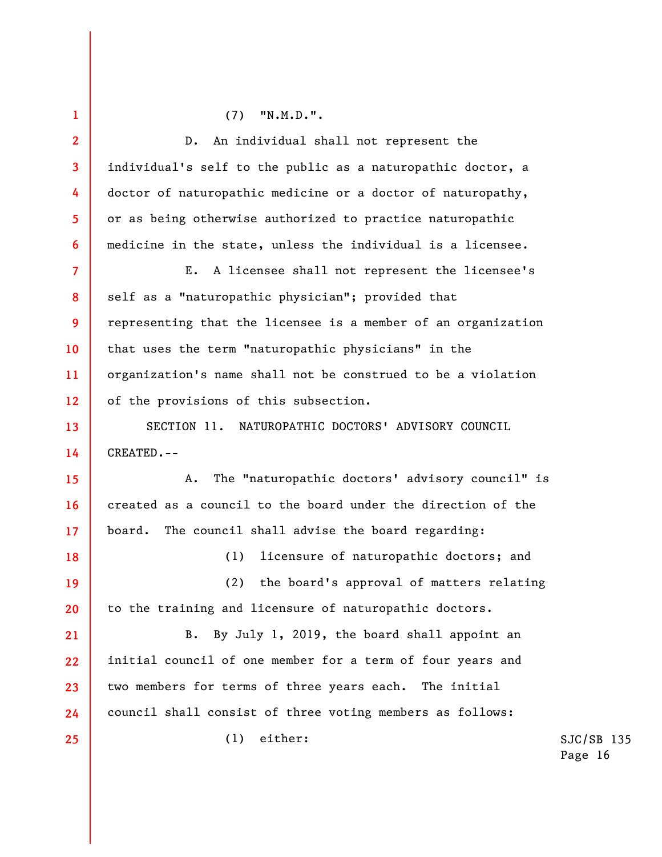**1 2 3 4 5 6 7 8 9 10 11 12 13 14 15 16 17 18 19 20 21 22 23 24 25**  (7) "N.M.D.". D. An individual shall not represent the individual's self to the public as a naturopathic doctor, a doctor of naturopathic medicine or a doctor of naturopathy, or as being otherwise authorized to practice naturopathic medicine in the state, unless the individual is a licensee. E. A licensee shall not represent the licensee's self as a "naturopathic physician"; provided that representing that the licensee is a member of an organization that uses the term "naturopathic physicians" in the organization's name shall not be construed to be a violation of the provisions of this subsection. SECTION 11. NATUROPATHIC DOCTORS' ADVISORY COUNCIL CREATED.-- A. The "naturopathic doctors' advisory council" is created as a council to the board under the direction of the board. The council shall advise the board regarding: (1) licensure of naturopathic doctors; and (2) the board's approval of matters relating to the training and licensure of naturopathic doctors. B. By July 1, 2019, the board shall appoint an initial council of one member for a term of four years and two members for terms of three years each. The initial council shall consist of three voting members as follows: (1) either: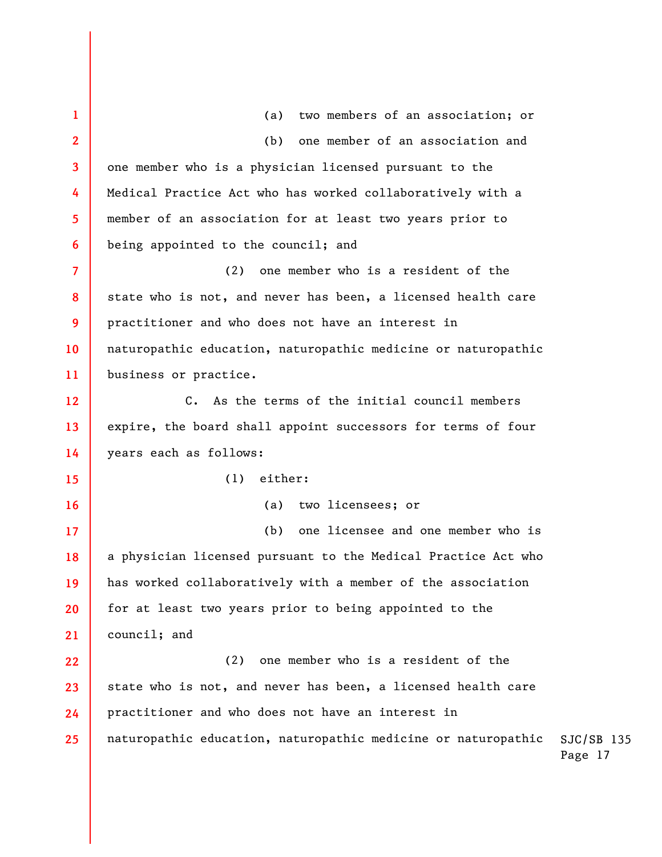| $\mathbf 1$              | two members of an association; or<br>(a)                      |                         |
|--------------------------|---------------------------------------------------------------|-------------------------|
| $\overline{2}$           | one member of an association and<br>(b)                       |                         |
| 3                        | one member who is a physician licensed pursuant to the        |                         |
| 4                        | Medical Practice Act who has worked collaboratively with a    |                         |
| 5                        | member of an association for at least two years prior to      |                         |
| 6                        | being appointed to the council; and                           |                         |
| $\overline{\mathcal{L}}$ | one member who is a resident of the<br>(2)                    |                         |
| 8                        | state who is not, and never has been, a licensed health care  |                         |
| 9                        | practitioner and who does not have an interest in             |                         |
| 10                       | naturopathic education, naturopathic medicine or naturopathic |                         |
| 11                       | business or practice.                                         |                         |
| 12                       | C. As the terms of the initial council members                |                         |
| 13                       | expire, the board shall appoint successors for terms of four  |                         |
| 14                       | years each as follows:                                        |                         |
| 15                       | either:<br>(1)                                                |                         |
| 16                       | two licensees; or<br>(a)                                      |                         |
| 17                       | one licensee and one member who is<br>(b)                     |                         |
| 18                       | a physician licensed pursuant to the Medical Practice Act who |                         |
| 19                       | has worked collaboratively with a member of the association   |                         |
| 20                       | for at least two years prior to being appointed to the        |                         |
| 21                       | council; and                                                  |                         |
| 22                       | one member who is a resident of the<br>(2)                    |                         |
| 23                       | state who is not, and never has been, a licensed health care  |                         |
| 24                       | practitioner and who does not have an interest in             |                         |
| 25                       | naturopathic education, naturopathic medicine or naturopathic | $SJC/SB$ 135<br>Page 17 |
|                          |                                                               |                         |
|                          |                                                               |                         |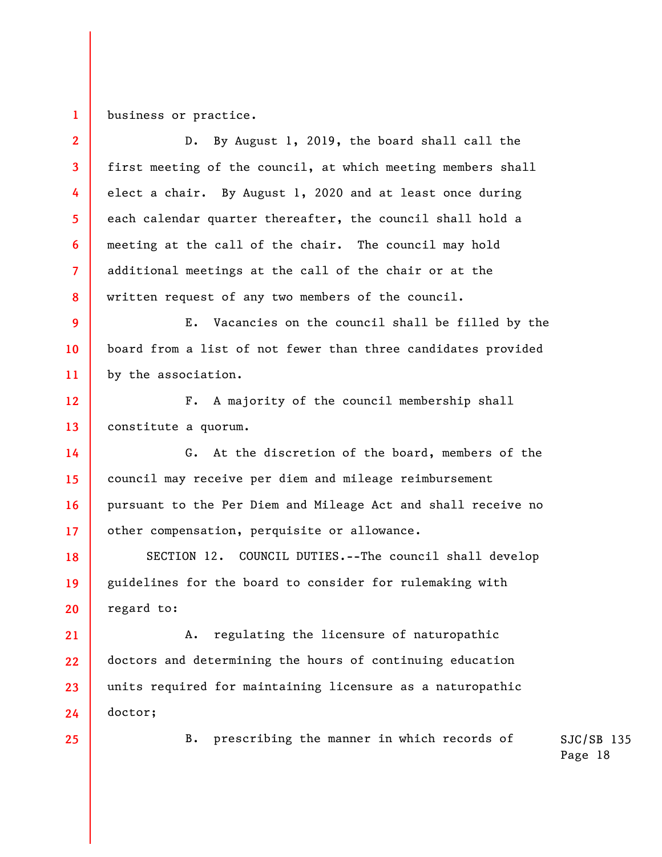**1**  business or practice.

**2 3 4 5 6 7 8 9 10 11 12 13 14 15 16 17 18 19 20 21 22 23 24 25**  D. By August 1, 2019, the board shall call the first meeting of the council, at which meeting members shall elect a chair. By August 1, 2020 and at least once during each calendar quarter thereafter, the council shall hold a meeting at the call of the chair. The council may hold additional meetings at the call of the chair or at the written request of any two members of the council. E. Vacancies on the council shall be filled by the board from a list of not fewer than three candidates provided by the association. F. A majority of the council membership shall constitute a quorum. G. At the discretion of the board, members of the council may receive per diem and mileage reimbursement pursuant to the Per Diem and Mileage Act and shall receive no other compensation, perquisite or allowance. SECTION 12. COUNCIL DUTIES.--The council shall develop guidelines for the board to consider for rulemaking with regard to: A. regulating the licensure of naturopathic doctors and determining the hours of continuing education units required for maintaining licensure as a naturopathic doctor; B. prescribing the manner in which records of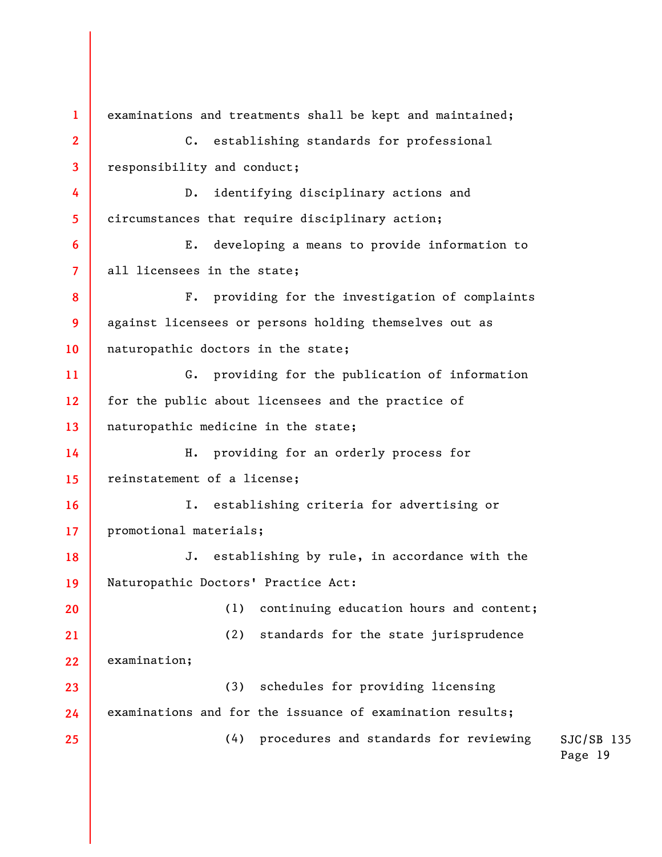SJC/SB 135 Page 19 **1 2 3 4 5 6 7 8 9 10 11 12 13 14 15 16 17 18 19 20 21 22 23 24 25**  examinations and treatments shall be kept and maintained; C. establishing standards for professional responsibility and conduct; D. identifying disciplinary actions and circumstances that require disciplinary action; E. developing a means to provide information to all licensees in the state; F. providing for the investigation of complaints against licensees or persons holding themselves out as naturopathic doctors in the state; G. providing for the publication of information for the public about licensees and the practice of naturopathic medicine in the state; H. providing for an orderly process for reinstatement of a license; I. establishing criteria for advertising or promotional materials; J. establishing by rule, in accordance with the Naturopathic Doctors' Practice Act: (1) continuing education hours and content; (2) standards for the state jurisprudence examination; (3) schedules for providing licensing examinations and for the issuance of examination results; (4) procedures and standards for reviewing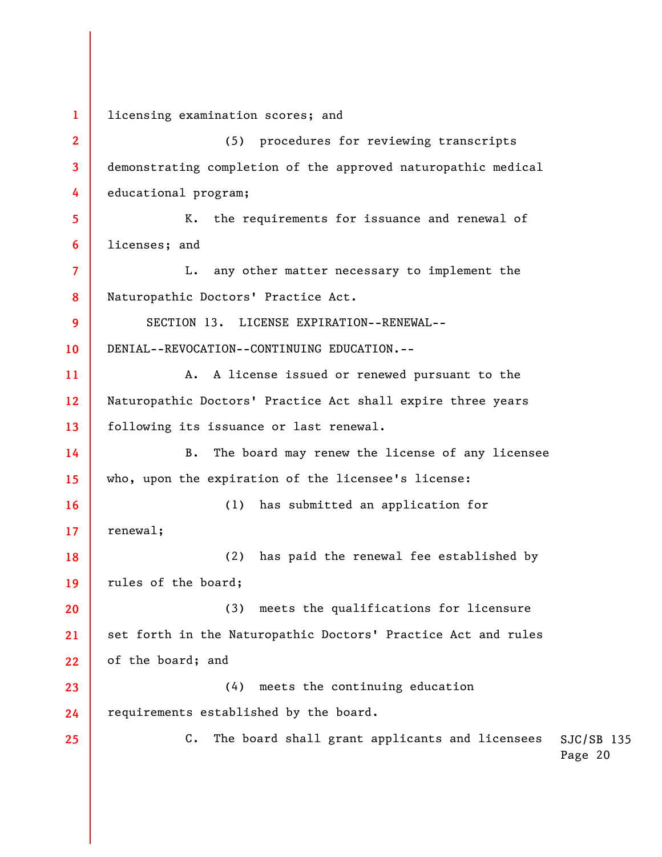SJC/SB 135 Page 20 **1 2 3 4 5 6 7 8 9 10 11 12 13 14 15 16 17 18 19 20 21 22 23 24 25**  licensing examination scores; and (5) procedures for reviewing transcripts demonstrating completion of the approved naturopathic medical educational program; K. the requirements for issuance and renewal of licenses; and L. any other matter necessary to implement the Naturopathic Doctors' Practice Act. SECTION 13. LICENSE EXPIRATION--RENEWAL-- DENIAL--REVOCATION--CONTINUING EDUCATION.-- A. A license issued or renewed pursuant to the Naturopathic Doctors' Practice Act shall expire three years following its issuance or last renewal. B. The board may renew the license of any licensee who, upon the expiration of the licensee's license: (1) has submitted an application for renewal; (2) has paid the renewal fee established by rules of the board; (3) meets the qualifications for licensure set forth in the Naturopathic Doctors' Practice Act and rules of the board; and (4) meets the continuing education requirements established by the board. C. The board shall grant applicants and licensees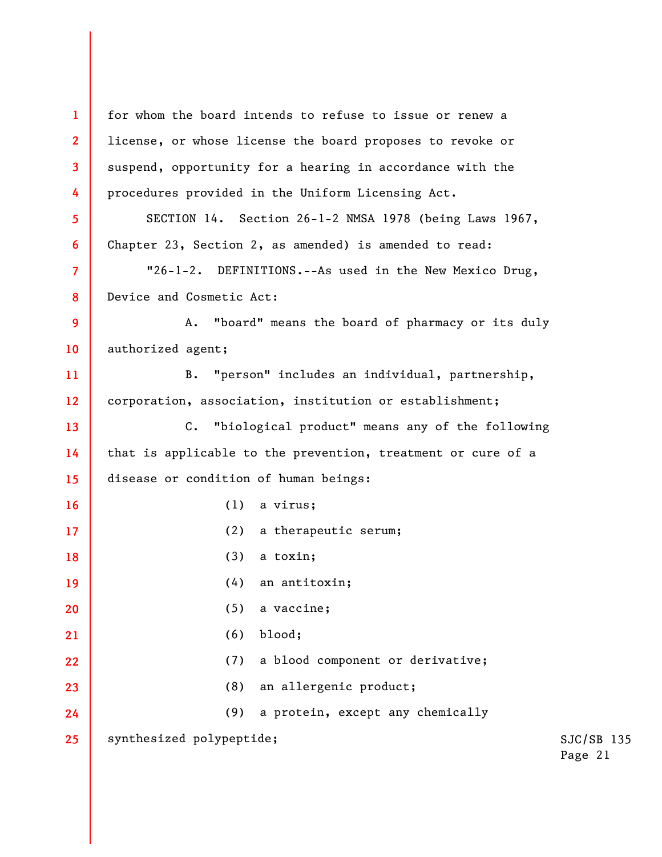SJC/SB 135 Page 21 **1 2 3 4 5 6 7 8 9 10 11 12 13 14 15 16 17 18 19 20 21 22 23 24 25**  for whom the board intends to refuse to issue or renew a license, or whose license the board proposes to revoke or suspend, opportunity for a hearing in accordance with the procedures provided in the Uniform Licensing Act. SECTION 14. Section 26-1-2 NMSA 1978 (being Laws 1967, Chapter 23, Section 2, as amended) is amended to read: "26-1-2. DEFINITIONS.--As used in the New Mexico Drug, Device and Cosmetic Act: A. "board" means the board of pharmacy or its duly authorized agent; B. "person" includes an individual, partnership, corporation, association, institution or establishment; C. "biological product" means any of the following that is applicable to the prevention, treatment or cure of a disease or condition of human beings: (1) a virus; (2) a therapeutic serum; (3) a toxin; (4) an antitoxin; (5) a vaccine; (6) blood; (7) a blood component or derivative; (8) an allergenic product; (9) a protein, except any chemically synthesized polypeptide;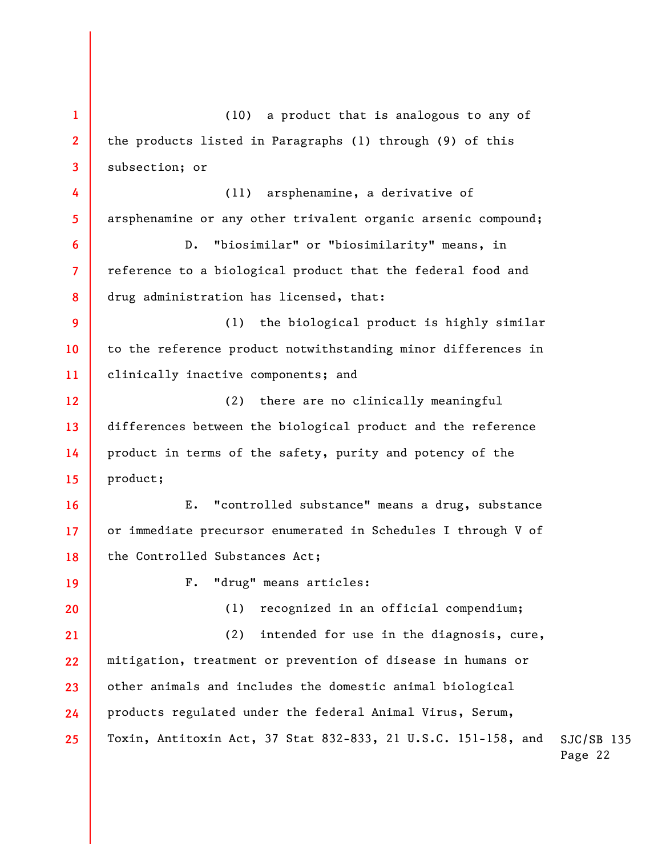SJC/SB 135 Page 22 **1 2 3 4 5 6 7 8 9 10 11 12 13 14 15 16 17 18 19 20 21 22 23 24 25**  (10) a product that is analogous to any of the products listed in Paragraphs (1) through (9) of this subsection; or (11) arsphenamine, a derivative of arsphenamine or any other trivalent organic arsenic compound; D. "biosimilar" or "biosimilarity" means, in reference to a biological product that the federal food and drug administration has licensed, that: (1) the biological product is highly similar to the reference product notwithstanding minor differences in clinically inactive components; and (2) there are no clinically meaningful differences between the biological product and the reference product in terms of the safety, purity and potency of the product; E. "controlled substance" means a drug, substance or immediate precursor enumerated in Schedules I through V of the Controlled Substances Act; F. "drug" means articles: (1) recognized in an official compendium; (2) intended for use in the diagnosis, cure, mitigation, treatment or prevention of disease in humans or other animals and includes the domestic animal biological products regulated under the federal Animal Virus, Serum, Toxin, Antitoxin Act, 37 Stat 832-833, 21 U.S.C. 151-158, and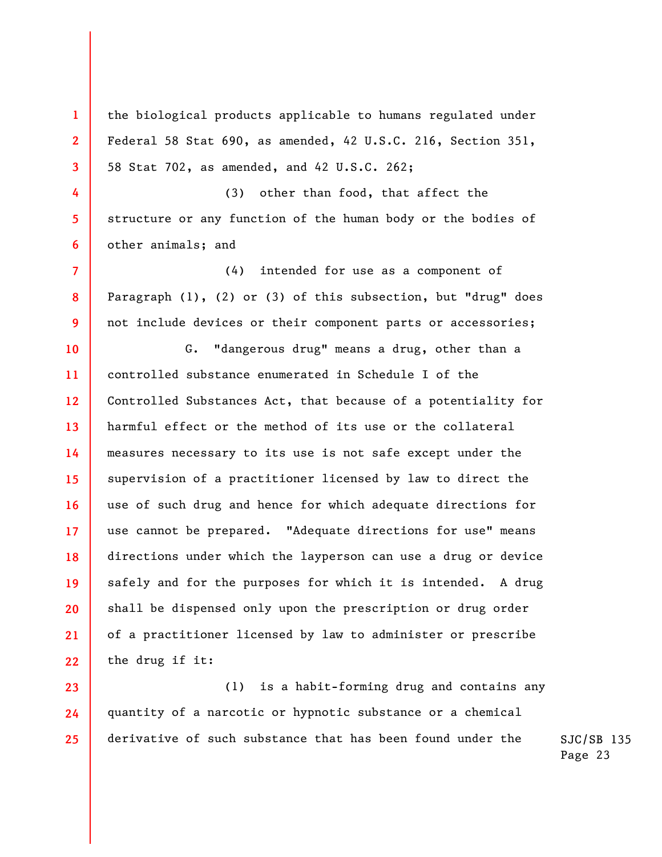the biological products applicable to humans regulated under Federal 58 Stat 690, as amended, 42 U.S.C. 216, Section 351, 58 Stat 702, as amended, and 42 U.S.C. 262;

**1** 

**2** 

**3** 

**4** 

**5** 

**6** 

**7** 

**8** 

**9** 

(3) other than food, that affect the structure or any function of the human body or the bodies of other animals; and

(4) intended for use as a component of Paragraph (1), (2) or (3) of this subsection, but "drug" does not include devices or their component parts or accessories;

**10 11 12 13 14 15 16 17 18 19 20 21 22**  G. "dangerous drug" means a drug, other than a controlled substance enumerated in Schedule I of the Controlled Substances Act, that because of a potentiality for harmful effect or the method of its use or the collateral measures necessary to its use is not safe except under the supervision of a practitioner licensed by law to direct the use of such drug and hence for which adequate directions for use cannot be prepared. "Adequate directions for use" means directions under which the layperson can use a drug or device safely and for the purposes for which it is intended. A drug shall be dispensed only upon the prescription or drug order of a practitioner licensed by law to administer or prescribe the drug if it:

**23 24 25**  (1) is a habit-forming drug and contains any quantity of a narcotic or hypnotic substance or a chemical derivative of such substance that has been found under the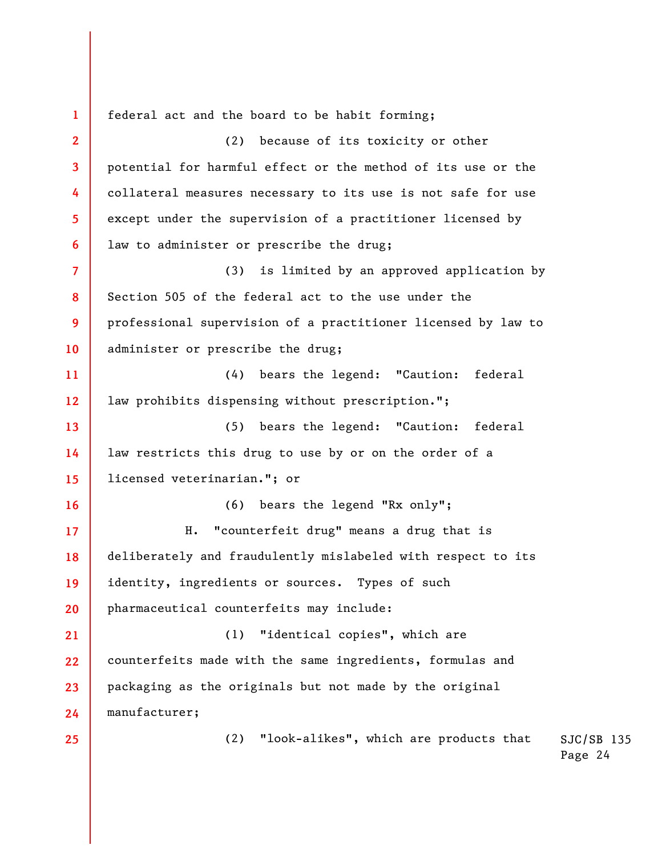SJC/SB 135 Page 24 **1 2 3 4 5 6 7 8 9 10 11 12 13 14 15 16 17 18 19 20 21 22 23 24 25**  federal act and the board to be habit forming; (2) because of its toxicity or other potential for harmful effect or the method of its use or the collateral measures necessary to its use is not safe for use except under the supervision of a practitioner licensed by law to administer or prescribe the drug; (3) is limited by an approved application by Section 505 of the federal act to the use under the professional supervision of a practitioner licensed by law to administer or prescribe the drug; (4) bears the legend: "Caution: federal law prohibits dispensing without prescription."; (5) bears the legend: "Caution: federal law restricts this drug to use by or on the order of a licensed veterinarian."; or (6) bears the legend "Rx only"; H. "counterfeit drug" means a drug that is deliberately and fraudulently mislabeled with respect to its identity, ingredients or sources. Types of such pharmaceutical counterfeits may include: (1) "identical copies", which are counterfeits made with the same ingredients, formulas and packaging as the originals but not made by the original manufacturer; (2) "look-alikes", which are products that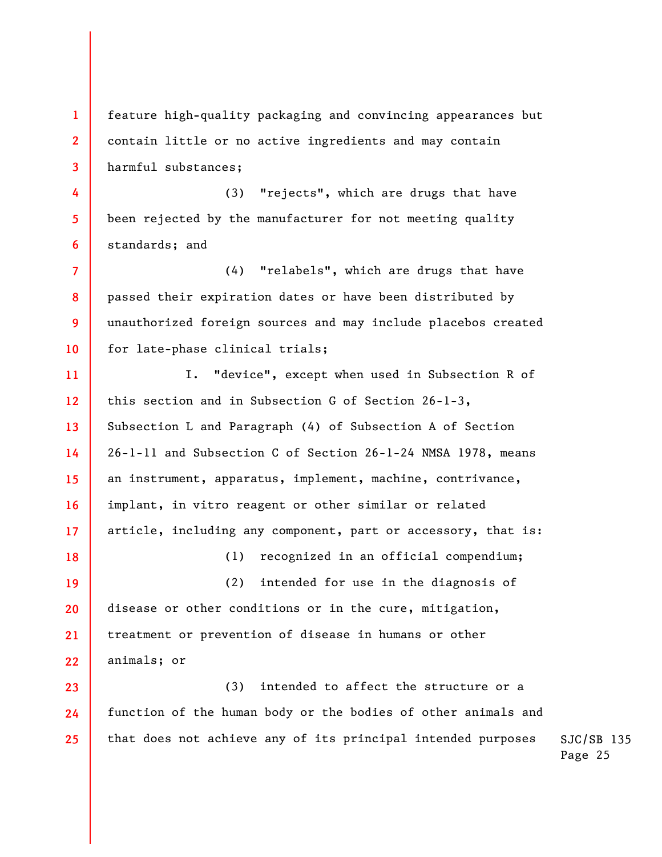**1 2 3 4**  feature high-quality packaging and convincing appearances but contain little or no active ingredients and may contain harmful substances; (3) "rejects", which are drugs that have

been rejected by the manufacturer for not meeting quality standards; and

**5** 

**6** 

**18** 

**7 8 9 10**  (4) "relabels", which are drugs that have passed their expiration dates or have been distributed by unauthorized foreign sources and may include placebos created for late-phase clinical trials;

**11 12 13 14 15 16 17**  I. "device", except when used in Subsection R of this section and in Subsection G of Section 26-1-3, Subsection L and Paragraph (4) of Subsection A of Section 26-1-11 and Subsection C of Section 26-1-24 NMSA 1978, means an instrument, apparatus, implement, machine, contrivance, implant, in vitro reagent or other similar or related article, including any component, part or accessory, that is:

(1) recognized in an official compendium;

**19 20 21 22**  (2) intended for use in the diagnosis of disease or other conditions or in the cure, mitigation, treatment or prevention of disease in humans or other animals; or

**23 24 25**  (3) intended to affect the structure or a function of the human body or the bodies of other animals and that does not achieve any of its principal intended purposes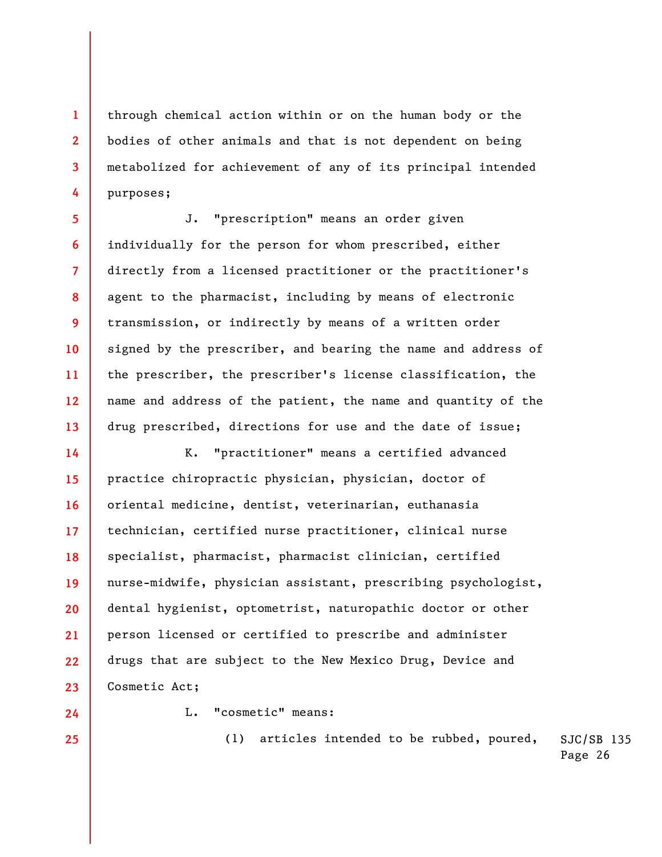through chemical action within or on the human body or the bodies of other animals and that is not dependent on being metabolized for achievement of any of its principal intended purposes;

J. "prescription" means an order given individually for the person for whom prescribed, either directly from a licensed practitioner or the practitioner's agent to the pharmacist, including by means of electronic transmission, or indirectly by means of a written order signed by the prescriber, and bearing the name and address of the prescriber, the prescriber's license classification, the name and address of the patient, the name and quantity of the drug prescribed, directions for use and the date of issue;

**14 15 16 17 18 19 20 21 22 23**  K. "practitioner" means a certified advanced practice chiropractic physician, physician, doctor of oriental medicine, dentist, veterinarian, euthanasia technician, certified nurse practitioner, clinical nurse specialist, pharmacist, pharmacist clinician, certified nurse-midwife, physician assistant, prescribing psychologist, dental hygienist, optometrist, naturopathic doctor or other person licensed or certified to prescribe and administer drugs that are subject to the New Mexico Drug, Device and Cosmetic Act;

**24 25** 

**1** 

**2** 

**3** 

**4** 

**5** 

**6** 

**7** 

**8** 

**9** 

**10** 

**11** 

**12** 

**13** 

L. "cosmetic" means:

SJC/SB 135 (1) articles intended to be rubbed, poured,

Page 26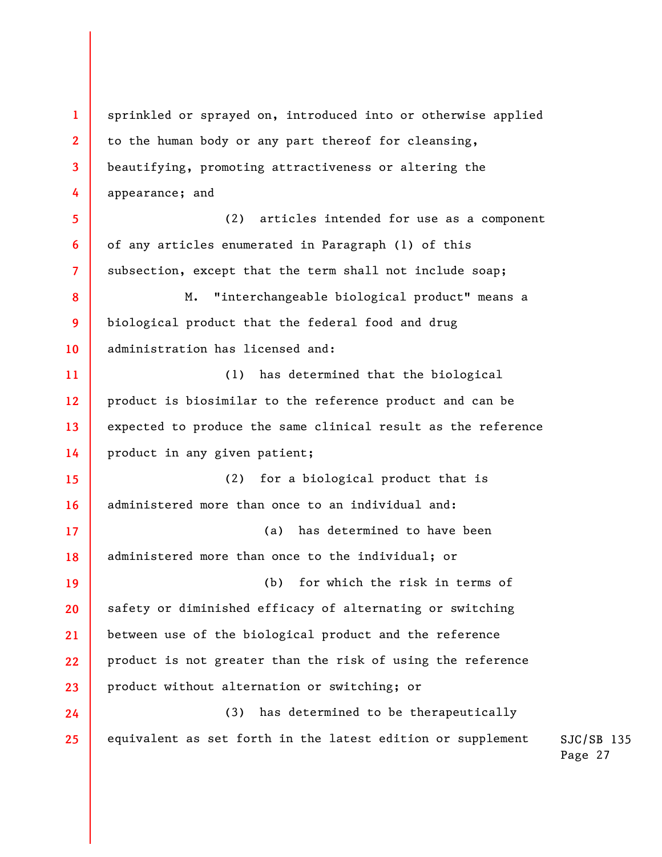**1 2 3 4 5 6 7 8 9 10 11 12 13 14 15 16 17 18 19 20 21 22 23 24 25**  sprinkled or sprayed on, introduced into or otherwise applied to the human body or any part thereof for cleansing, beautifying, promoting attractiveness or altering the appearance; and (2) articles intended for use as a component of any articles enumerated in Paragraph (1) of this subsection, except that the term shall not include soap; M. "interchangeable biological product" means a biological product that the federal food and drug administration has licensed and: (1) has determined that the biological product is biosimilar to the reference product and can be expected to produce the same clinical result as the reference product in any given patient; (2) for a biological product that is administered more than once to an individual and: (a) has determined to have been administered more than once to the individual; or (b) for which the risk in terms of safety or diminished efficacy of alternating or switching between use of the biological product and the reference product is not greater than the risk of using the reference product without alternation or switching; or (3) has determined to be therapeutically equivalent as set forth in the latest edition or supplement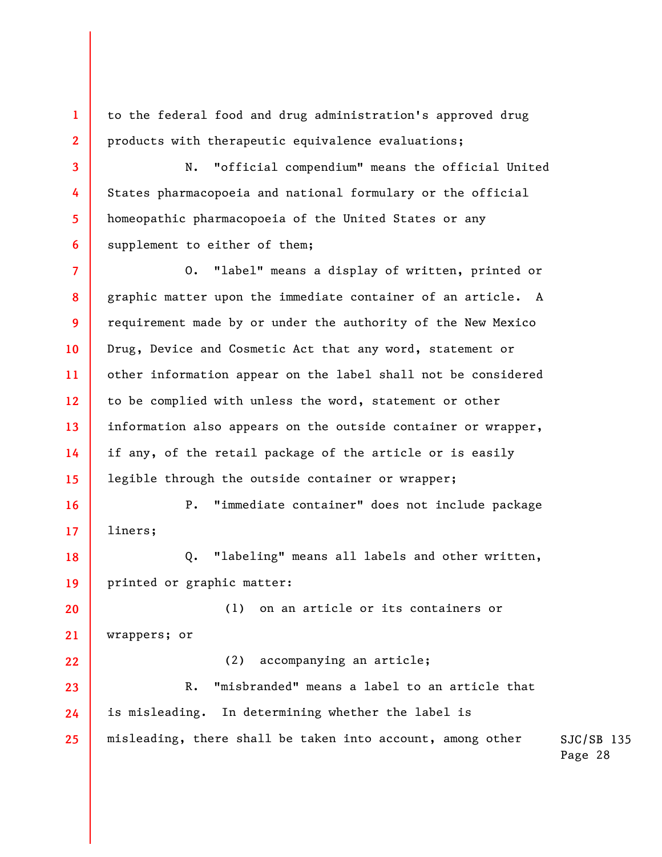to the federal food and drug administration's approved drug products with therapeutic equivalence evaluations;

**1** 

**2** 

**3** 

**4** 

**5** 

**6** 

**16** 

**17** 

**18** 

**19** 

**22** 

N. "official compendium" means the official United States pharmacopoeia and national formulary or the official homeopathic pharmacopoeia of the United States or any supplement to either of them;

**7 8 9 10 11 12 13 14 15**  O. "label" means a display of written, printed or graphic matter upon the immediate container of an article. A requirement made by or under the authority of the New Mexico Drug, Device and Cosmetic Act that any word, statement or other information appear on the label shall not be considered to be complied with unless the word, statement or other information also appears on the outside container or wrapper, if any, of the retail package of the article or is easily legible through the outside container or wrapper;

P. "immediate container" does not include package liners;

Q. "labeling" means all labels and other written, printed or graphic matter:

**20 21**  (1) on an article or its containers or wrappers; or

(2) accompanying an article;

**23 24 25**  R. "misbranded" means a label to an article that is misleading. In determining whether the label is misleading, there shall be taken into account, among other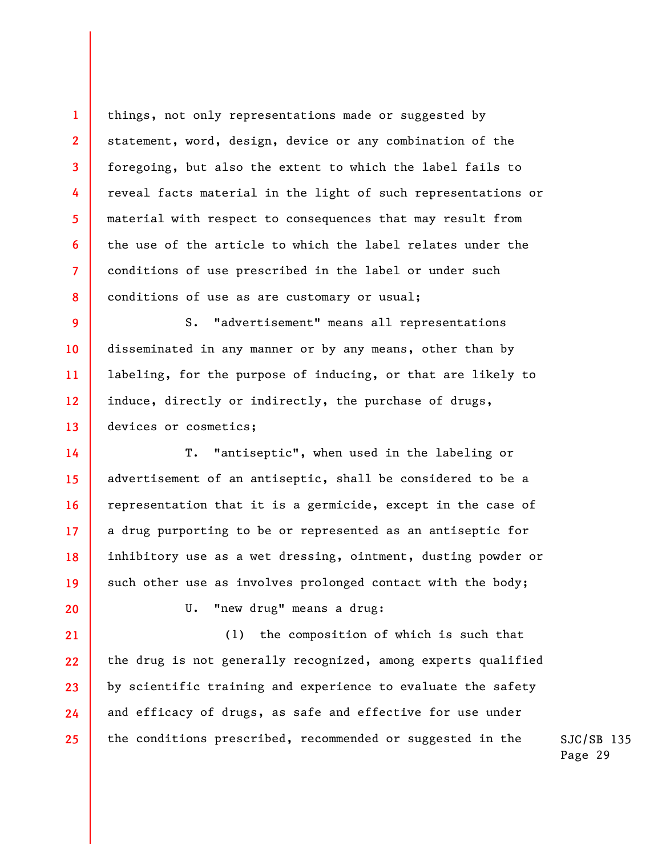things, not only representations made or suggested by statement, word, design, device or any combination of the foregoing, but also the extent to which the label fails to reveal facts material in the light of such representations or material with respect to consequences that may result from the use of the article to which the label relates under the conditions of use prescribed in the label or under such conditions of use as are customary or usual;

**9 10 11 12 13**  S. "advertisement" means all representations disseminated in any manner or by any means, other than by labeling, for the purpose of inducing, or that are likely to induce, directly or indirectly, the purchase of drugs, devices or cosmetics;

T. "antiseptic", when used in the labeling or advertisement of an antiseptic, shall be considered to be a representation that it is a germicide, except in the case of a drug purporting to be or represented as an antiseptic for inhibitory use as a wet dressing, ointment, dusting powder or such other use as involves prolonged contact with the body;

**20** 

**14** 

**15** 

**16** 

**17** 

**18** 

**19** 

**1** 

**2** 

**3** 

**4** 

**5** 

**6** 

**7** 

**8** 

U. "new drug" means a drug:

**21 22 23 24 25**  (1) the composition of which is such that the drug is not generally recognized, among experts qualified by scientific training and experience to evaluate the safety and efficacy of drugs, as safe and effective for use under the conditions prescribed, recommended or suggested in the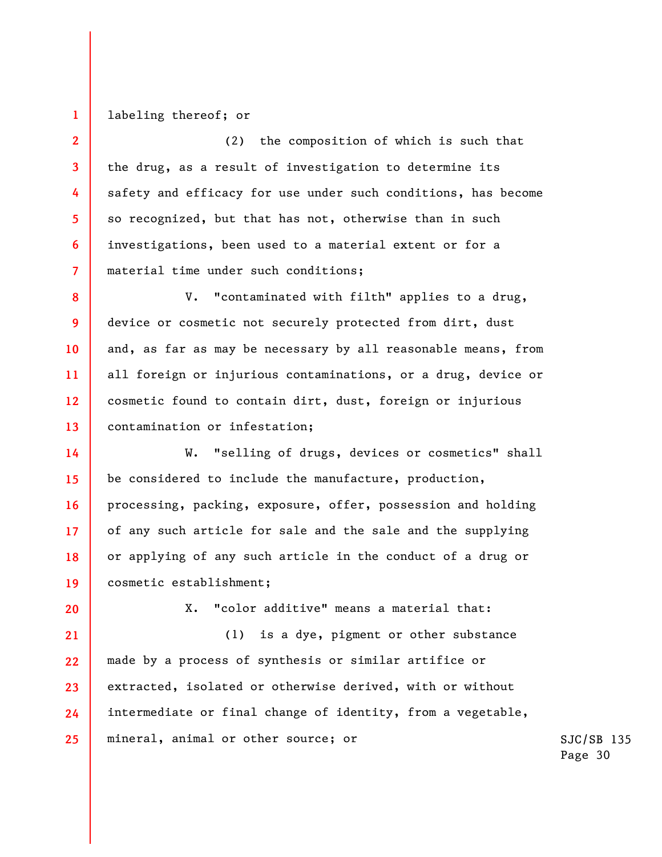**1**  labeling thereof; or

**2** 

**3** 

**4** 

**5** 

**6** 

**7** 

(2) the composition of which is such that the drug, as a result of investigation to determine its safety and efficacy for use under such conditions, has become so recognized, but that has not, otherwise than in such investigations, been used to a material extent or for a material time under such conditions;

**8 9 10 11 12 13**  V. "contaminated with filth" applies to a drug, device or cosmetic not securely protected from dirt, dust and, as far as may be necessary by all reasonable means, from all foreign or injurious contaminations, or a drug, device or cosmetic found to contain dirt, dust, foreign or injurious contamination or infestation;

**14 15 16 17 18 19**  W. "selling of drugs, devices or cosmetics" shall be considered to include the manufacture, production, processing, packing, exposure, offer, possession and holding of any such article for sale and the sale and the supplying or applying of any such article in the conduct of a drug or cosmetic establishment;

**20** 

X. "color additive" means a material that:

**21 22 23 24 25**  (1) is a dye, pigment or other substance made by a process of synthesis or similar artifice or extracted, isolated or otherwise derived, with or without intermediate or final change of identity, from a vegetable, mineral, animal or other source; or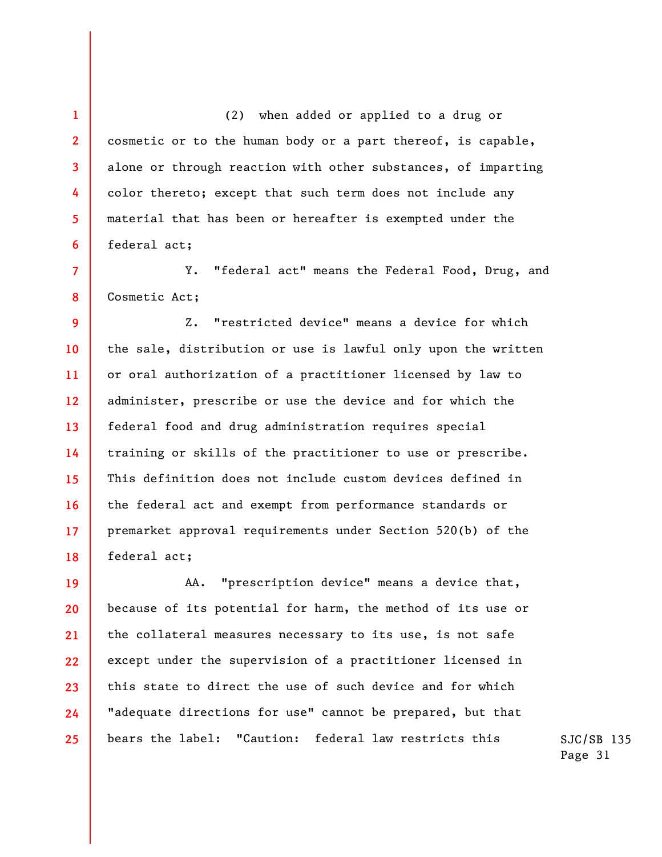(2) when added or applied to a drug or cosmetic or to the human body or a part thereof, is capable, alone or through reaction with other substances, of imparting color thereto; except that such term does not include any material that has been or hereafter is exempted under the federal act;

**1** 

**2** 

**3** 

**4** 

**5** 

**6** 

**7** 

**8**  Y. "federal act" means the Federal Food, Drug, and Cosmetic Act;

**9 10 11 12 13 14 15 16 17 18**  Z. "restricted device" means a device for which the sale, distribution or use is lawful only upon the written or oral authorization of a practitioner licensed by law to administer, prescribe or use the device and for which the federal food and drug administration requires special training or skills of the practitioner to use or prescribe. This definition does not include custom devices defined in the federal act and exempt from performance standards or premarket approval requirements under Section 520(b) of the federal act;

**19 20 21 22 23 24 25**  AA. "prescription device" means a device that, because of its potential for harm, the method of its use or the collateral measures necessary to its use, is not safe except under the supervision of a practitioner licensed in this state to direct the use of such device and for which "adequate directions for use" cannot be prepared, but that bears the label: "Caution: federal law restricts this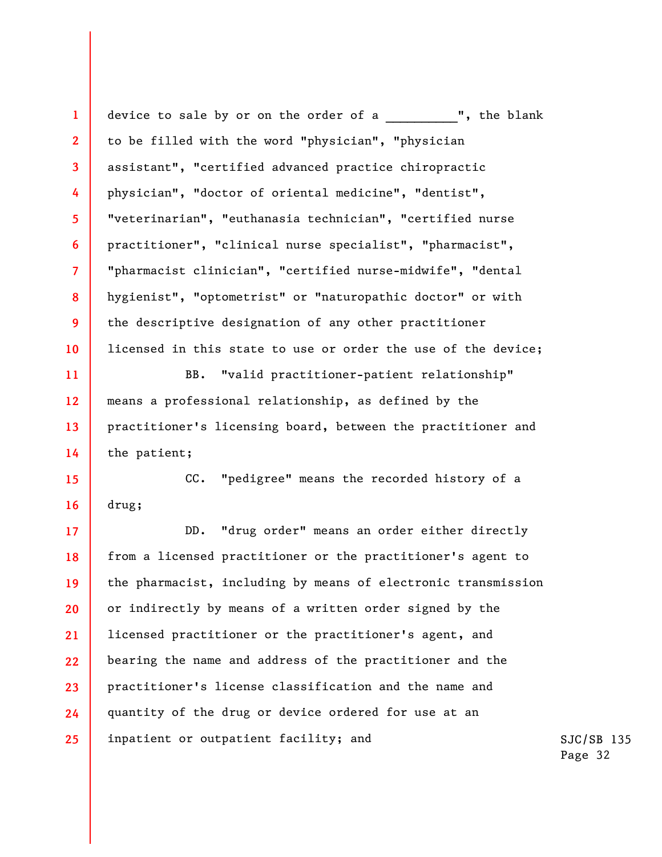**1 2 3 4 5 6 7 8 9 10 11 12 13 14 15 16 17 18 19 20 21 22 23 24 25**  device to sale by or on the order of a **...** ", the blank to be filled with the word "physician", "physician assistant", "certified advanced practice chiropractic physician", "doctor of oriental medicine", "dentist", "veterinarian", "euthanasia technician", "certified nurse practitioner", "clinical nurse specialist", "pharmacist", "pharmacist clinician", "certified nurse-midwife", "dental hygienist", "optometrist" or "naturopathic doctor" or with the descriptive designation of any other practitioner licensed in this state to use or order the use of the device; BB. "valid practitioner-patient relationship" means a professional relationship, as defined by the practitioner's licensing board, between the practitioner and the patient; CC. "pedigree" means the recorded history of a drug; DD. "drug order" means an order either directly from a licensed practitioner or the practitioner's agent to the pharmacist, including by means of electronic transmission or indirectly by means of a written order signed by the licensed practitioner or the practitioner's agent, and bearing the name and address of the practitioner and the practitioner's license classification and the name and quantity of the drug or device ordered for use at an inpatient or outpatient facility; and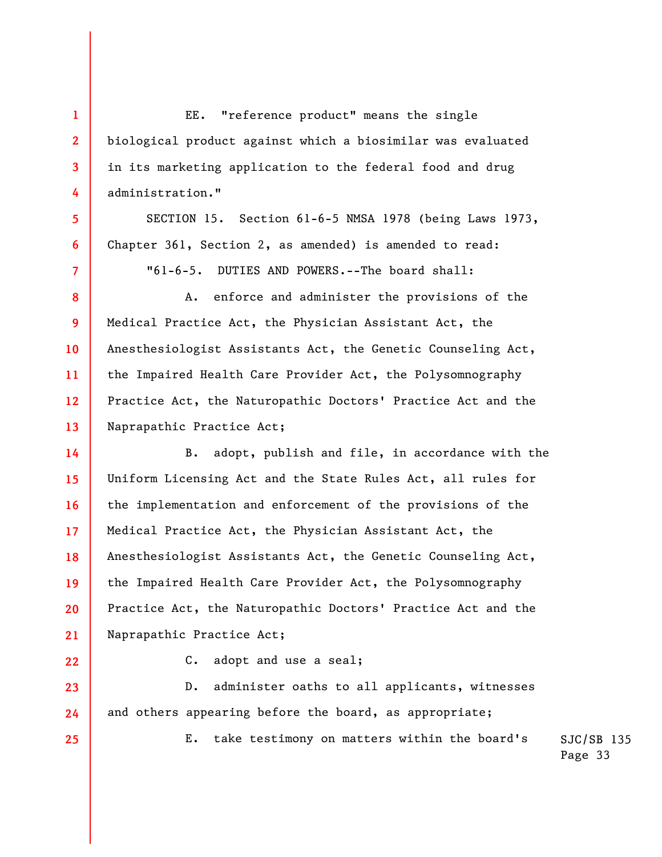EE. "reference product" means the single biological product against which a biosimilar was evaluated in its marketing application to the federal food and drug administration."

SECTION 15. Section 61-6-5 NMSA 1978 (being Laws 1973, Chapter 361, Section 2, as amended) is amended to read:

"61-6-5. DUTIES AND POWERS.--The board shall:

A. enforce and administer the provisions of the Medical Practice Act, the Physician Assistant Act, the Anesthesiologist Assistants Act, the Genetic Counseling Act, the Impaired Health Care Provider Act, the Polysomnography Practice Act, the Naturopathic Doctors' Practice Act and the Naprapathic Practice Act;

**14 15 16 17 18 19 20 21**  B. adopt, publish and file, in accordance with the Uniform Licensing Act and the State Rules Act, all rules for the implementation and enforcement of the provisions of the Medical Practice Act, the Physician Assistant Act, the Anesthesiologist Assistants Act, the Genetic Counseling Act, the Impaired Health Care Provider Act, the Polysomnography Practice Act, the Naturopathic Doctors' Practice Act and the Naprapathic Practice Act;

**22** 

**23** 

**24** 

**25** 

**1** 

**2** 

**3** 

**4** 

**5** 

**6** 

**7** 

**8** 

**9** 

**10** 

**11** 

**12** 

**13** 

C. adopt and use a seal;

D. administer oaths to all applicants, witnesses and others appearing before the board, as appropriate;

E. take testimony on matters within the board's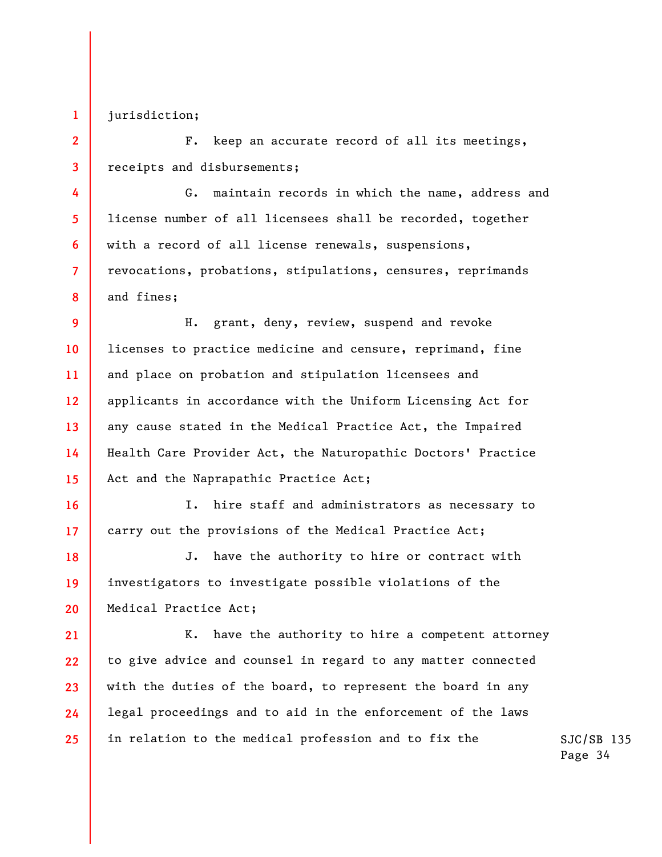jurisdiction;

**1** 

**2** 

**3** 

**4** 

**5** 

**6** 

**7** 

**8** 

**16** 

**17** 

**21** 

F. keep an accurate record of all its meetings, receipts and disbursements;

G. maintain records in which the name, address and license number of all licensees shall be recorded, together with a record of all license renewals, suspensions, revocations, probations, stipulations, censures, reprimands and fines;

**9 10 11 12 13 14 15**  H. grant, deny, review, suspend and revoke licenses to practice medicine and censure, reprimand, fine and place on probation and stipulation licensees and applicants in accordance with the Uniform Licensing Act for any cause stated in the Medical Practice Act, the Impaired Health Care Provider Act, the Naturopathic Doctors' Practice Act and the Naprapathic Practice Act;

I. hire staff and administrators as necessary to carry out the provisions of the Medical Practice Act;

**18 19 20**  J. have the authority to hire or contract with investigators to investigate possible violations of the Medical Practice Act;

**22 23 24 25**  K. have the authority to hire a competent attorney to give advice and counsel in regard to any matter connected with the duties of the board, to represent the board in any legal proceedings and to aid in the enforcement of the laws in relation to the medical profession and to fix the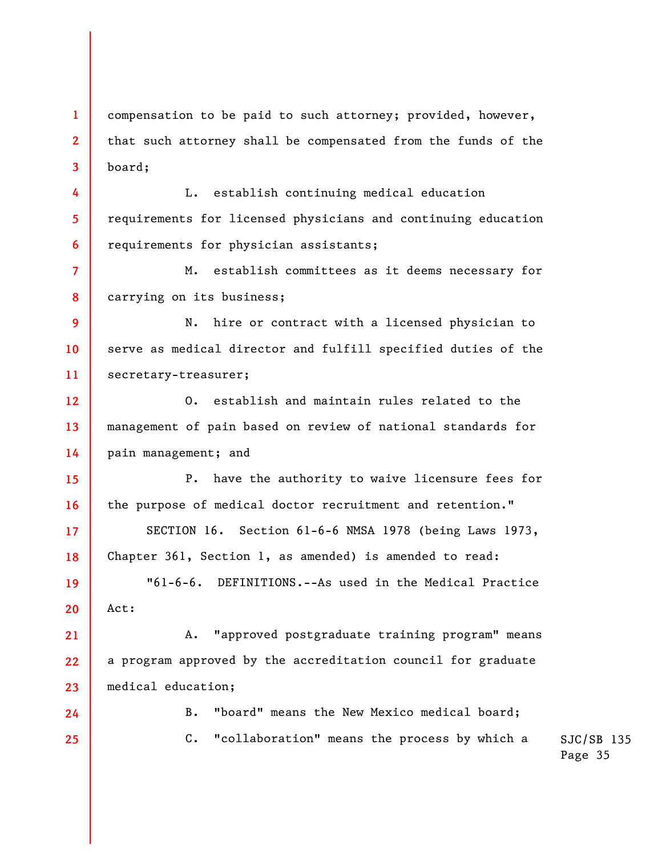**1 2 3**  compensation to be paid to such attorney; provided, however, that such attorney shall be compensated from the funds of the board;

L. establish continuing medical education requirements for licensed physicians and continuing education requirements for physician assistants;

**4** 

**5** 

**6** 

**17** 

**18** 

**24** 

**25** 

**7 8**  M. establish committees as it deems necessary for carrying on its business;

**9 10 11**  N. hire or contract with a licensed physician to serve as medical director and fulfill specified duties of the secretary-treasurer;

**12 13 14**  O. establish and maintain rules related to the management of pain based on review of national standards for pain management; and

**15 16**  P. have the authority to waive licensure fees for the purpose of medical doctor recruitment and retention."

SECTION 16. Section 61-6-6 NMSA 1978 (being Laws 1973, Chapter 361, Section 1, as amended) is amended to read:

**19 20**  "61-6-6. DEFINITIONS.--As used in the Medical Practice Act:

**21 22 23**  A. "approved postgraduate training program" means a program approved by the accreditation council for graduate medical education;

> B. "board" means the New Mexico medical board; C. "collaboration" means the process by which a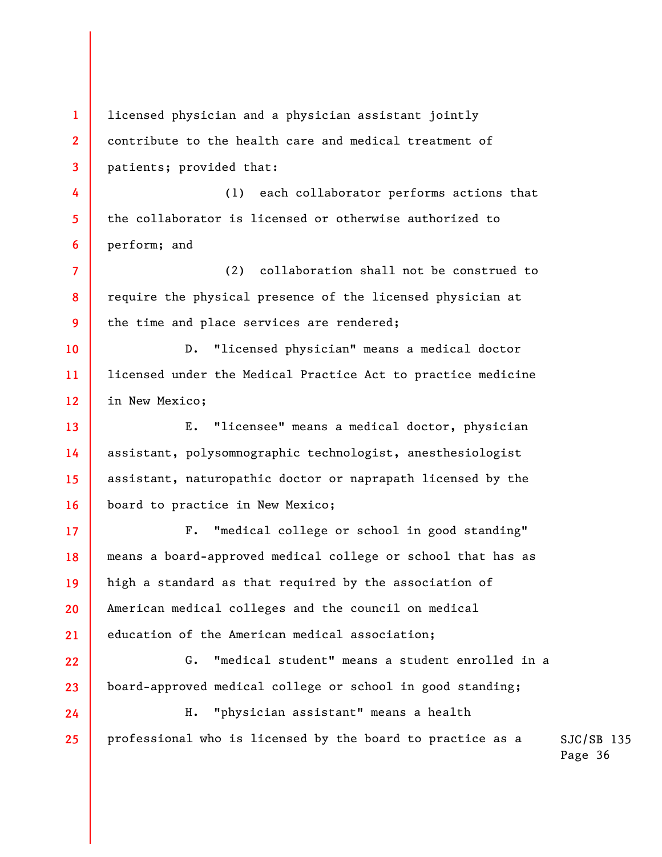**1 2 3 4 5 6 7 8 9 10 11 12 13 14 15 16 17 18 19 20 21 22 23 24 25**  licensed physician and a physician assistant jointly contribute to the health care and medical treatment of patients; provided that: (1) each collaborator performs actions that the collaborator is licensed or otherwise authorized to perform; and (2) collaboration shall not be construed to require the physical presence of the licensed physician at the time and place services are rendered; D. "licensed physician" means a medical doctor licensed under the Medical Practice Act to practice medicine in New Mexico; E. "licensee" means a medical doctor, physician assistant, polysomnographic technologist, anesthesiologist assistant, naturopathic doctor or naprapath licensed by the board to practice in New Mexico; F. "medical college or school in good standing" means a board-approved medical college or school that has as high a standard as that required by the association of American medical colleges and the council on medical education of the American medical association; G. "medical student" means a student enrolled in a board-approved medical college or school in good standing; H. "physician assistant" means a health professional who is licensed by the board to practice as a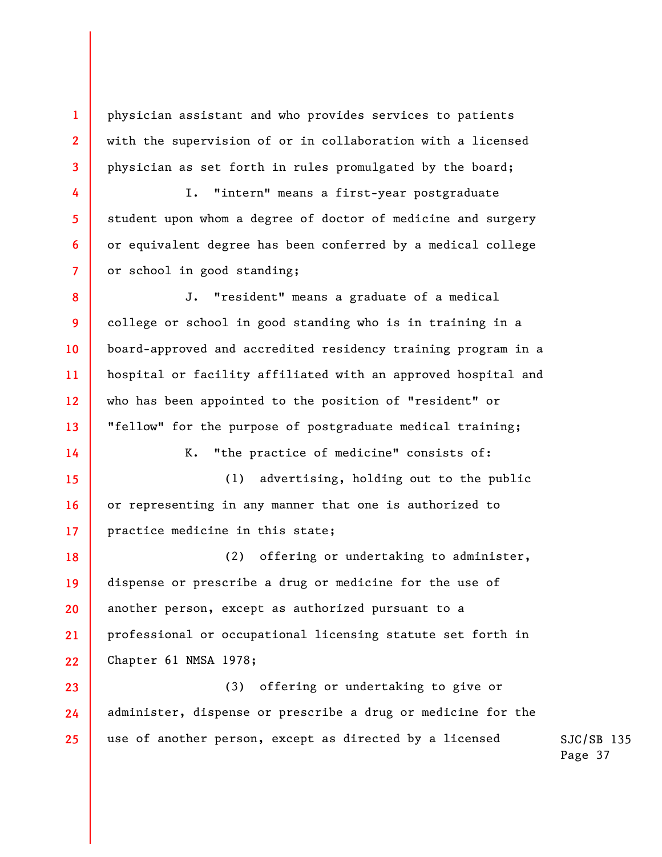physician assistant and who provides services to patients with the supervision of or in collaboration with a licensed physician as set forth in rules promulgated by the board;

**1** 

**2** 

**3** 

**4** 

**5** 

**6** 

**7** 

**9** 

**14** 

I. "intern" means a first-year postgraduate student upon whom a degree of doctor of medicine and surgery or equivalent degree has been conferred by a medical college or school in good standing;

**8 10 11 12 13**  J. "resident" means a graduate of a medical college or school in good standing who is in training in a board-approved and accredited residency training program in a hospital or facility affiliated with an approved hospital and who has been appointed to the position of "resident" or "fellow" for the purpose of postgraduate medical training;

K. "the practice of medicine" consists of:

**15 16 17**  (1) advertising, holding out to the public or representing in any manner that one is authorized to practice medicine in this state;

**18 19 20 21 22**  (2) offering or undertaking to administer, dispense or prescribe a drug or medicine for the use of another person, except as authorized pursuant to a professional or occupational licensing statute set forth in Chapter 61 NMSA 1978;

**23 24 25**  (3) offering or undertaking to give or administer, dispense or prescribe a drug or medicine for the use of another person, except as directed by a licensed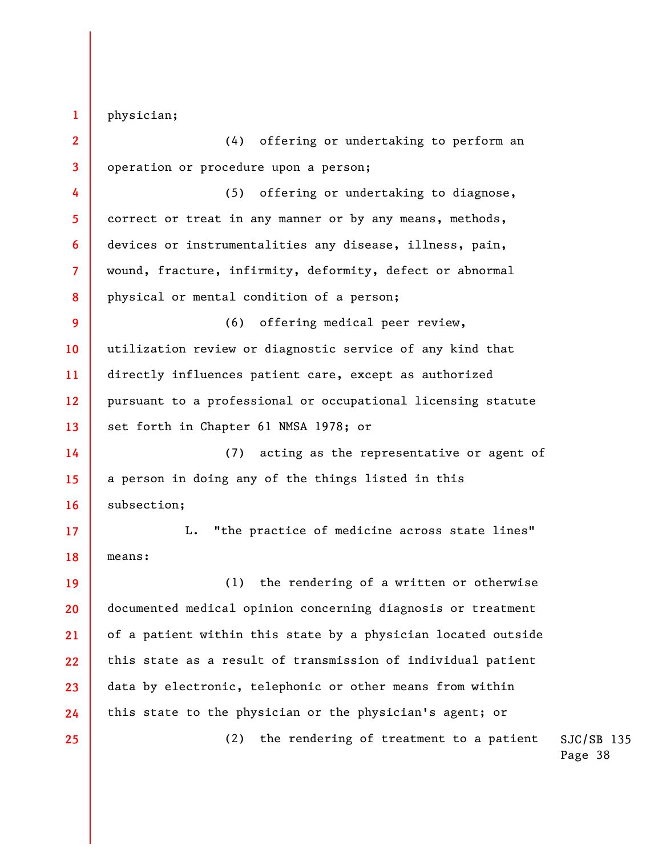physician;

**1** 

**25** 

**2 3 4 5 6 7 8**  (4) offering or undertaking to perform an operation or procedure upon a person; (5) offering or undertaking to diagnose, correct or treat in any manner or by any means, methods, devices or instrumentalities any disease, illness, pain, wound, fracture, infirmity, deformity, defect or abnormal physical or mental condition of a person;

**9 10 11 12 13**  (6) offering medical peer review, utilization review or diagnostic service of any kind that directly influences patient care, except as authorized pursuant to a professional or occupational licensing statute set forth in Chapter 61 NMSA 1978; or

**14 15 16**  (7) acting as the representative or agent of a person in doing any of the things listed in this subsection;

**17 18**  L. "the practice of medicine across state lines" means:

**19 20 21 22 23 24**  (1) the rendering of a written or otherwise documented medical opinion concerning diagnosis or treatment of a patient within this state by a physician located outside this state as a result of transmission of individual patient data by electronic, telephonic or other means from within this state to the physician or the physician's agent; or

(2) the rendering of treatment to a patient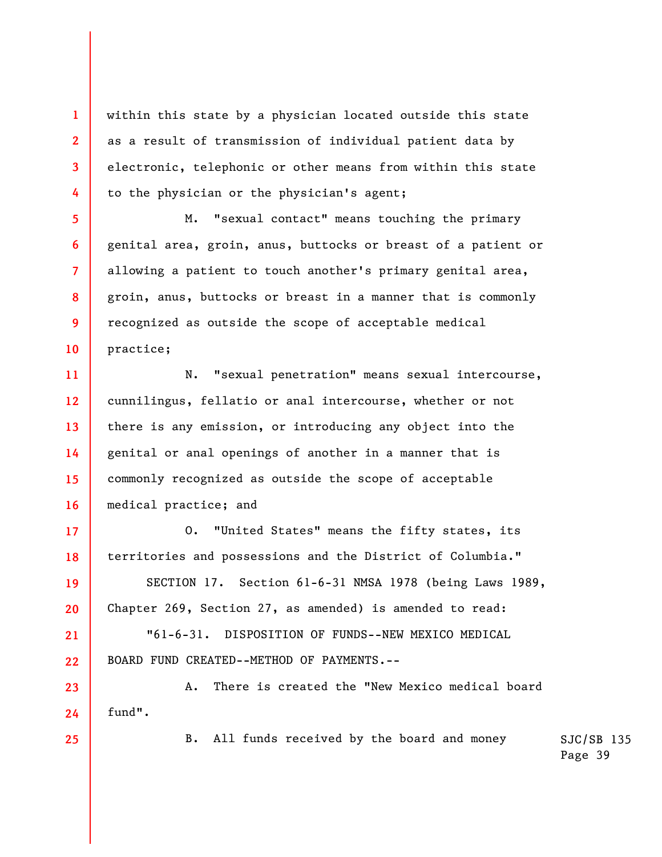within this state by a physician located outside this state as a result of transmission of individual patient data by electronic, telephonic or other means from within this state to the physician or the physician's agent;

M. "sexual contact" means touching the primary genital area, groin, anus, buttocks or breast of a patient or allowing a patient to touch another's primary genital area, groin, anus, buttocks or breast in a manner that is commonly recognized as outside the scope of acceptable medical practice;

**11 12 13 14 15 16**  N. "sexual penetration" means sexual intercourse, cunnilingus, fellatio or anal intercourse, whether or not there is any emission, or introducing any object into the genital or anal openings of another in a manner that is commonly recognized as outside the scope of acceptable medical practice; and

O. "United States" means the fifty states, its territories and possessions and the District of Columbia."

SECTION 17. Section 61-6-31 NMSA 1978 (being Laws 1989, Chapter 269, Section 27, as amended) is amended to read:

"61-6-31. DISPOSITION OF FUNDS--NEW MEXICO MEDICAL BOARD FUND CREATED--METHOD OF PAYMENTS.--

**23 24**  A. There is created the "New Mexico medical board fund".

**25** 

**1** 

**2** 

**3** 

**4** 

**5** 

**6** 

**7** 

**8** 

**9** 

**10** 

**17** 

**18** 

**19** 

**20** 

**21** 

**22** 

B. All funds received by the board and money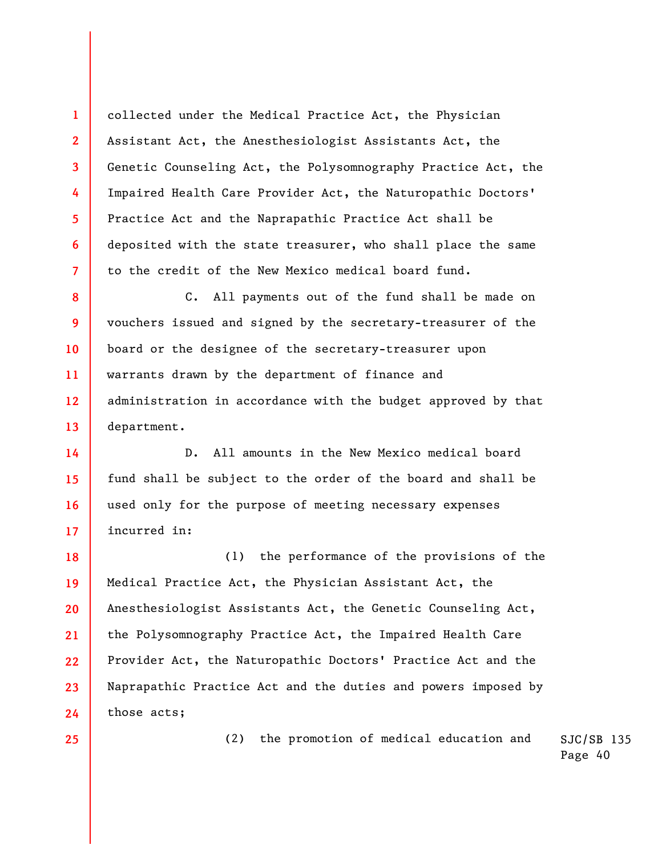collected under the Medical Practice Act, the Physician Assistant Act, the Anesthesiologist Assistants Act, the Genetic Counseling Act, the Polysomnography Practice Act, the Impaired Health Care Provider Act, the Naturopathic Doctors' Practice Act and the Naprapathic Practice Act shall be deposited with the state treasurer, who shall place the same to the credit of the New Mexico medical board fund.

**8 9 10 11 12 13**  C. All payments out of the fund shall be made on vouchers issued and signed by the secretary-treasurer of the board or the designee of the secretary-treasurer upon warrants drawn by the department of finance and administration in accordance with the budget approved by that department.

**14 15 16 17**  D. All amounts in the New Mexico medical board fund shall be subject to the order of the board and shall be used only for the purpose of meeting necessary expenses incurred in:

**18 19 20 21 22 23 24**  (1) the performance of the provisions of the Medical Practice Act, the Physician Assistant Act, the Anesthesiologist Assistants Act, the Genetic Counseling Act, the Polysomnography Practice Act, the Impaired Health Care Provider Act, the Naturopathic Doctors' Practice Act and the Naprapathic Practice Act and the duties and powers imposed by those acts;

**25** 

**1** 

**2** 

**3** 

**4** 

**5** 

**6** 

**7** 

SJC/SB 135 (2) the promotion of medical education and

Page 40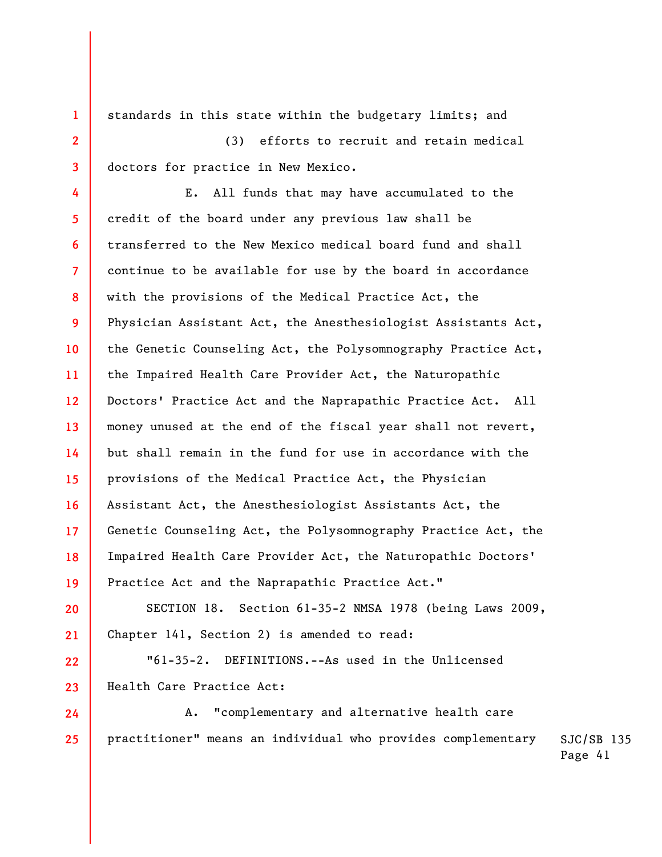standards in this state within the budgetary limits; and (3) efforts to recruit and retain medical doctors for practice in New Mexico.

**1** 

**2** 

**3** 

**22** 

**23** 

**4 5 6 7 8 9 10 11 12 13 14 15 16 17 18 19**  E. All funds that may have accumulated to the credit of the board under any previous law shall be transferred to the New Mexico medical board fund and shall continue to be available for use by the board in accordance with the provisions of the Medical Practice Act, the Physician Assistant Act, the Anesthesiologist Assistants Act, the Genetic Counseling Act, the Polysomnography Practice Act, the Impaired Health Care Provider Act, the Naturopathic Doctors' Practice Act and the Naprapathic Practice Act. All money unused at the end of the fiscal year shall not revert, but shall remain in the fund for use in accordance with the provisions of the Medical Practice Act, the Physician Assistant Act, the Anesthesiologist Assistants Act, the Genetic Counseling Act, the Polysomnography Practice Act, the Impaired Health Care Provider Act, the Naturopathic Doctors' Practice Act and the Naprapathic Practice Act."

**20 21**  SECTION 18. Section 61-35-2 NMSA 1978 (being Laws 2009, Chapter 141, Section 2) is amended to read:

"61-35-2. DEFINITIONS.--As used in the Unlicensed Health Care Practice Act:

SJC/SB 135 **24 25**  A. "complementary and alternative health care practitioner" means an individual who provides complementary

Page 41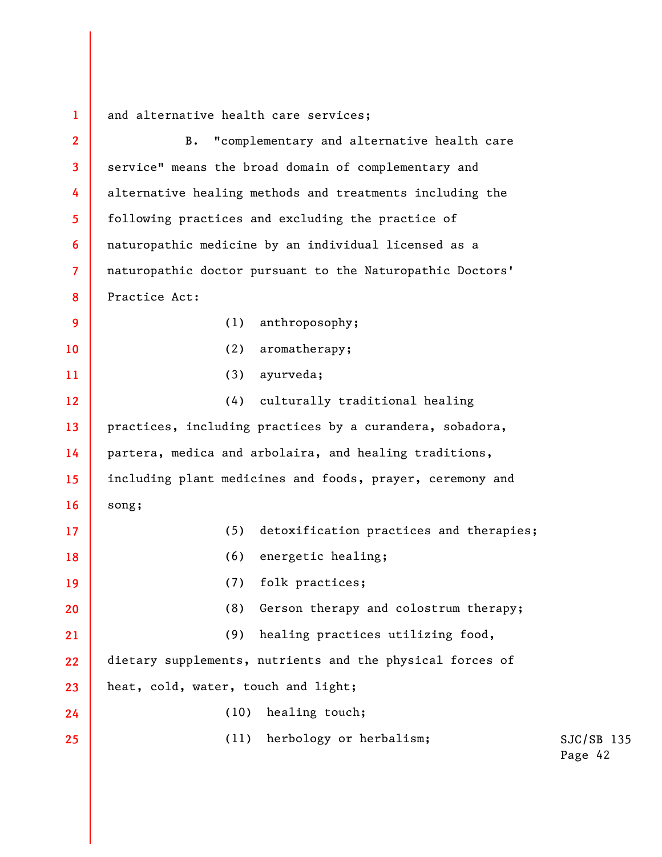**1**  and alternative health care services;

| $\overline{2}$ | "complementary and alternative health care<br><b>B.</b>   |             |
|----------------|-----------------------------------------------------------|-------------|
| 3              | service" means the broad domain of complementary and      |             |
| 4              | alternative healing methods and treatments including the  |             |
| 5              | following practices and excluding the practice of         |             |
| 6              | naturopathic medicine by an individual licensed as a      |             |
| $\overline{7}$ | naturopathic doctor pursuant to the Naturopathic Doctors' |             |
| 8              | Practice Act:                                             |             |
| 9              | anthroposophy;<br>(1)                                     |             |
| 10             | aromatherapy;<br>(2)                                      |             |
| 11             | ayurveda;<br>(3)                                          |             |
| 12             | culturally traditional healing<br>(4)                     |             |
| 13             | practices, including practices by a curandera, sobadora,  |             |
| 14             | partera, medica and arbolaira, and healing traditions,    |             |
| 15             | including plant medicines and foods, prayer, ceremony and |             |
| 16             | song;                                                     |             |
| 17             | detoxification practices and therapies;<br>(5)            |             |
| 18             | (6)<br>energetic healing;                                 |             |
| 19             | folk practices;<br>(7)                                    |             |
| 20             | Gerson therapy and colostrum therapy;<br>(8)              |             |
| 21             | healing practices utilizing food,<br>(9)                  |             |
| 22             | dietary supplements, nutrients and the physical forces of |             |
| 23             | heat, cold, water, touch and light;                       |             |
| 24             | healing touch;<br>(10)                                    |             |
| 25             | herbology or herbalism;<br>(11)                           | S.          |
|                |                                                           | $P_{\rm s}$ |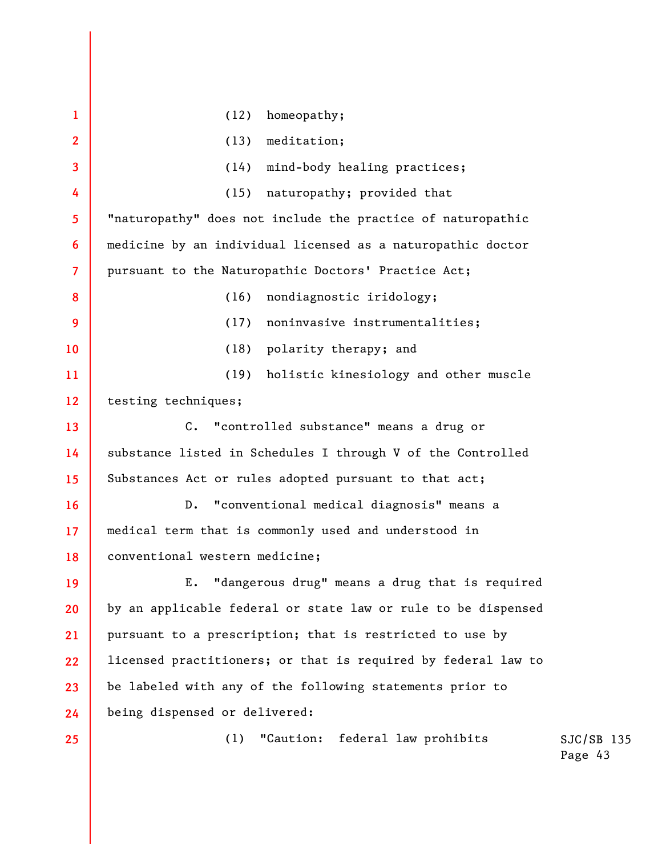| $\mathbf{1}$   | (12)<br>homeopathy;                                           |              |
|----------------|---------------------------------------------------------------|--------------|
| $\mathbf{2}$   | (13)<br>meditation;                                           |              |
| 3              | (14)<br>mind-body healing practices;                          |              |
| 4              | (15)<br>naturopathy; provided that                            |              |
| 5              | "naturopathy" does not include the practice of naturopathic   |              |
| 6              | medicine by an individual licensed as a naturopathic doctor   |              |
| $\overline{7}$ | pursuant to the Naturopathic Doctors' Practice Act;           |              |
| 8              | (16)<br>nondiagnostic iridology;                              |              |
| 9              | noninvasive instrumentalities;<br>(17)                        |              |
| 10             | (18)<br>polarity therapy; and                                 |              |
| 11             | holistic kinesiology and other muscle<br>(19)                 |              |
| 12             | testing techniques;                                           |              |
| 13             | C. "controlled substance" means a drug or                     |              |
| 14             | substance listed in Schedules I through V of the Controlled   |              |
| 15             | Substances Act or rules adopted pursuant to that act;         |              |
| 16             | "conventional medical diagnosis" means a<br>$D$ .             |              |
| 17             | medical term that is commonly used and understood in          |              |
| 18             | conventional western medicine;                                |              |
| 19             | "dangerous drug" means a drug that is required<br>Ε.          |              |
| 20             | by an applicable federal or state law or rule to be dispensed |              |
| 21             | pursuant to a prescription; that is restricted to use by      |              |
| 22             | licensed practitioners; or that is required by federal law to |              |
| 23             | be labeled with any of the following statements prior to      |              |
| 24             | being dispensed or delivered:                                 |              |
| 25             | federal law prohibits<br>"Caution:<br>(1)                     | $SJC/SB$ 135 |

Page 43